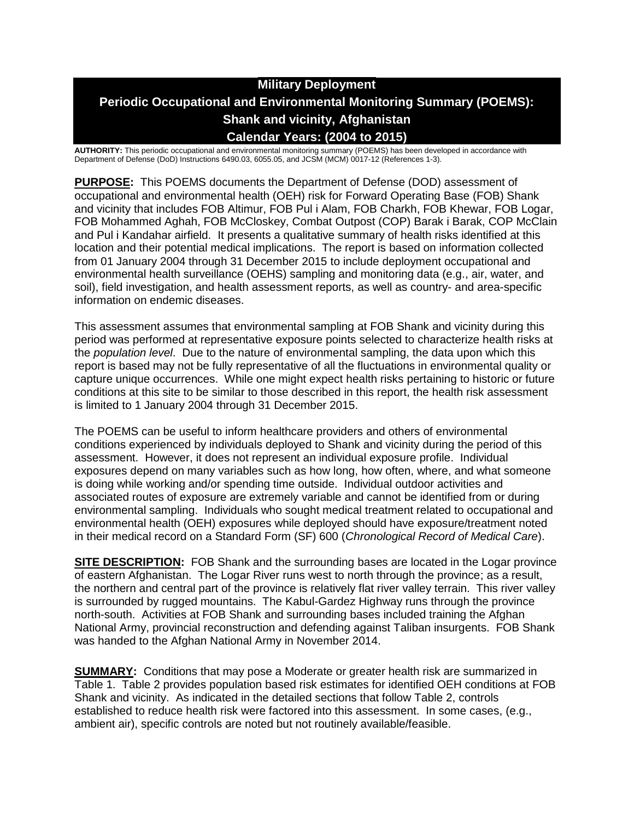# **Military Deployment Periodic Occupational and Environmental Monitoring Summary (POEMS): Shank and vicinity, Afghanistan Calendar Years: (2004 to 2015)**

**AUTHORITY:** This periodic occupational and environmental monitoring summary (POEMS) has been developed in accordance with Department of Defense (DoD) Instructions 6490.03, 6055.05, and JCSM (MCM) 0017-12 (References 1-3).

**PURPOSE:** This POEMS documents the Department of Defense (DOD) assessment of occupational and environmental health (OEH) risk for Forward Operating Base (FOB) Shank and vicinity that includes FOB Altimur, FOB Pul i Alam, FOB Charkh, FOB Khewar, FOB Logar, FOB Mohammed Aghah, FOB McCloskey, Combat Outpost (COP) Barak i Barak, COP McClain and Pul i Kandahar airfield. It presents a qualitative summary of health risks identified at this location and their potential medical implications. The report is based on information collected from 01 January 2004 through 31 December 2015 to include deployment occupational and environmental health surveillance (OEHS) sampling and monitoring data (e.g., air, water, and soil), field investigation, and health assessment reports, as well as country- and area-specific information on endemic diseases.

This assessment assumes that environmental sampling at FOB Shank and vicinity during this period was performed at representative exposure points selected to characterize health risks at the *population level*. Due to the nature of environmental sampling, the data upon which this report is based may not be fully representative of all the fluctuations in environmental quality or capture unique occurrences. While one might expect health risks pertaining to historic or future conditions at this site to be similar to those described in this report, the health risk assessment is limited to 1 January 2004 through 31 December 2015.

The POEMS can be useful to inform healthcare providers and others of environmental conditions experienced by individuals deployed to Shank and vicinity during the period of this assessment. However, it does not represent an individual exposure profile. Individual exposures depend on many variables such as how long, how often, where, and what someone is doing while working and/or spending time outside. Individual outdoor activities and associated routes of exposure are extremely variable and cannot be identified from or during environmental sampling. Individuals who sought medical treatment related to occupational and environmental health (OEH) exposures while deployed should have exposure/treatment noted in their medical record on a Standard Form (SF) 600 (*Chronological Record of Medical Care*).

**SITE DESCRIPTION:** FOB Shank and the surrounding bases are located in the Logar province of eastern Afghanistan. The Logar River runs west to north through the province; as a result, the northern and central part of the province is relatively flat river valley terrain. This river valley is surrounded by rugged mountains. The Kabul-Gardez Highway runs through the province north-south. Activities at FOB Shank and surrounding bases included training the Afghan National Army, provincial reconstruction and defending against Taliban insurgents. FOB Shank was handed to the Afghan National Army in November 2014.

**SUMMARY:** Conditions that may pose a Moderate or greater health risk are summarized in Table 1. Table 2 provides population based risk estimates for identified OEH conditions at FOB Shank and vicinity. As indicated in the detailed sections that follow Table 2, controls established to reduce health risk were factored into this assessment. In some cases, (e.g., ambient air), specific controls are noted but not routinely available/feasible.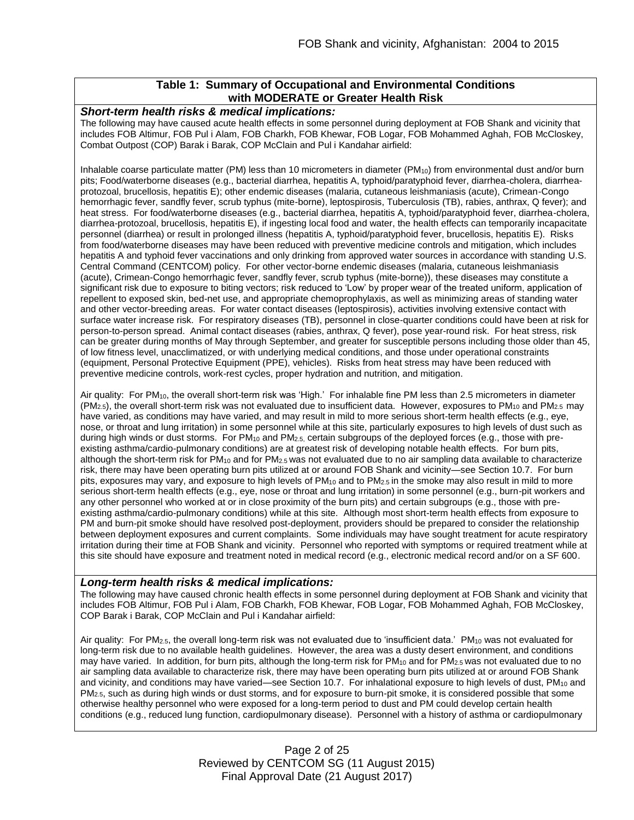## **Table 1: Summary of Occupational and Environmental Conditions with MODERATE or Greater Health Risk**

#### *Short-term health risks & medical implications:*

The following may have caused acute health effects in some personnel during deployment at FOB Shank and vicinity that includes FOB Altimur, FOB Pul i Alam, FOB Charkh, FOB Khewar, FOB Logar, FOB Mohammed Aghah, FOB McCloskey, Combat Outpost (COP) Barak i Barak, COP McClain and Pul i Kandahar airfield:

Inhalable coarse particulate matter (PM) less than 10 micrometers in diameter (PM<sub>10</sub>) from environmental dust and/or burn pits; Food/waterborne diseases (e.g., bacterial diarrhea, hepatitis A, typhoid/paratyphoid fever, diarrhea-cholera, diarrheaprotozoal, brucellosis, hepatitis E); other endemic diseases (malaria, cutaneous leishmaniasis (acute), Crimean-Congo hemorrhagic fever, sandfly fever, scrub typhus (mite-borne), leptospirosis, Tuberculosis (TB), rabies, anthrax, Q fever); and heat stress. For food/waterborne diseases (e.g., bacterial diarrhea, hepatitis A, typhoid/paratyphoid fever, diarrhea-cholera, diarrhea-protozoal, brucellosis, hepatitis E), if ingesting local food and water, the health effects can temporarily incapacitate personnel (diarrhea) or result in prolonged illness (hepatitis A, typhoid/paratyphoid fever, brucellosis, hepatitis E). Risks from food/waterborne diseases may have been reduced with preventive medicine controls and mitigation, which includes hepatitis A and typhoid fever vaccinations and only drinking from approved water sources in accordance with standing U.S. Central Command (CENTCOM) policy. For other vector-borne endemic diseases (malaria, cutaneous leishmaniasis (acute), Crimean-Congo hemorrhagic fever, sandfly fever, scrub typhus (mite-borne)), these diseases may constitute a significant risk due to exposure to biting vectors; risk reduced to 'Low' by proper wear of the treated uniform, application of repellent to exposed skin, bed-net use, and appropriate chemoprophylaxis, as well as minimizing areas of standing water and other vector-breeding areas. For water contact diseases (leptospirosis), activities involving extensive contact with surface water increase risk. For respiratory diseases (TB), personnel in close-quarter conditions could have been at risk for person-to-person spread. Animal contact diseases (rabies, anthrax, Q fever), pose year-round risk. For heat stress, risk can be greater during months of May through September, and greater for susceptible persons including those older than 45, of low fitness level, unacclimatized, or with underlying medical conditions, and those under operational constraints (equipment, Personal Protective Equipment (PPE), vehicles). Risks from heat stress may have been reduced with preventive medicine controls, work-rest cycles, proper hydration and nutrition, and mitigation.

Air quality: For PM10, the overall short-term risk was 'High.' For inhalable fine PM less than 2.5 micrometers in diameter  $(PM<sub>2.5</sub>)$ , the overall short-term risk was not evaluated due to insufficient data. However, exposures to PM<sub>10</sub> and PM<sub>2.5</sub> may have varied, as conditions may have varied, and may result in mild to more serious short-term health effects (e.g., eye, nose, or throat and lung irritation) in some personnel while at this site, particularly exposures to high levels of dust such as during high winds or dust storms. For PM<sub>10</sub> and PM<sub>2.5</sub>, certain subgroups of the deployed forces (e.g., those with preexisting asthma/cardio-pulmonary conditions) are at greatest risk of developing notable health effects. For burn pits, although the short-term risk for  $PM_{10}$  and for  $PM_{2.5}$  was not evaluated due to no air sampling data available to characterize risk, there may have been operating burn pits utilized at or around FOB Shank and vicinity—see Section 10.7. For burn pits, exposures may vary, and exposure to high levels of PM<sub>10</sub> and to PM<sub>2.5</sub> in the smoke may also result in mild to more serious short-term health effects (e.g., eye, nose or throat and lung irritation) in some personnel (e.g., burn-pit workers and any other personnel who worked at or in close proximity of the burn pits) and certain subgroups (e.g., those with preexisting asthma/cardio-pulmonary conditions) while at this site. Although most short-term health effects from exposure to PM and burn-pit smoke should have resolved post-deployment, providers should be prepared to consider the relationship between deployment exposures and current complaints. Some individuals may have sought treatment for acute respiratory irritation during their time at FOB Shank and vicinity. Personnel who reported with symptoms or required treatment while at this site should have exposure and treatment noted in medical record (e.g., electronic medical record and/or on a SF 600.

#### *Long-term health risks & medical implications:*

The following may have caused chronic health effects in some personnel during deployment at FOB Shank and vicinity that includes FOB Altimur, FOB Pul i Alam, FOB Charkh, FOB Khewar, FOB Logar, FOB Mohammed Aghah, FOB McCloskey, COP Barak i Barak, COP McClain and Pul i Kandahar airfield:

Air quality: For  $PM_{2.5}$ , the overall long-term risk was not evaluated due to 'insufficient data.'  $PM_{10}$  was not evaluated for long-term risk due to no available health guidelines. However, the area was a dusty desert environment, and conditions may have varied. In addition, for burn pits, although the long-term risk for PM<sub>10</sub> and for PM<sub>2.5</sub> was not evaluated due to no air sampling data available to characterize risk, there may have been operating burn pits utilized at or around FOB Shank and vicinity, and conditions may have varied—see Section 10.7. For inhalational exposure to high levels of dust,  $PM_{10}$  and PM2.5, such as during high winds or dust storms, and for exposure to burn-pit smoke, it is considered possible that some otherwise healthy personnel who were exposed for a long-term period to dust and PM could develop certain health conditions (e.g., reduced lung function, cardiopulmonary disease). Personnel with a history of asthma or cardiopulmonary

> Page 2 of 25 Reviewed by CENTCOM SG (11 August 2015) Final Approval Date (21 August 2017)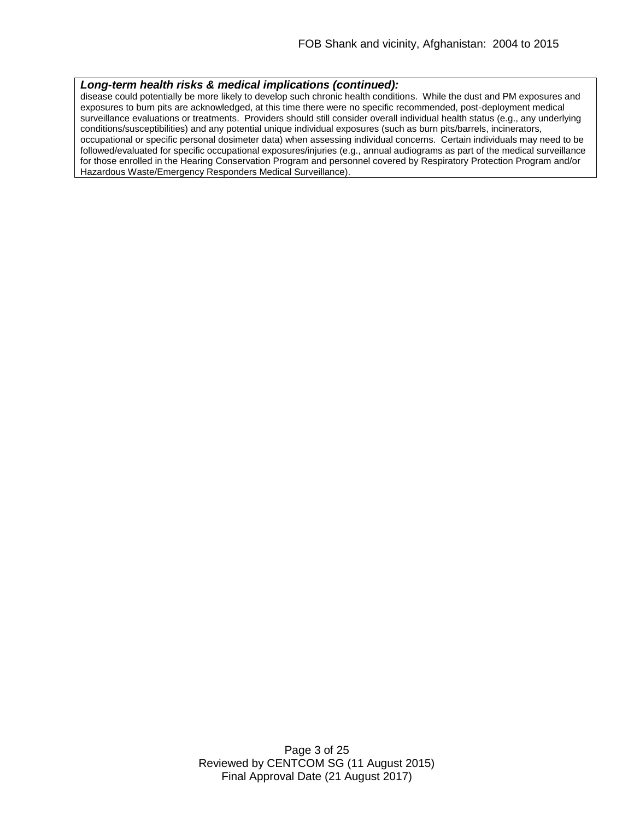#### *Long-term health risks & medical implications (continued):*

disease could potentially be more likely to develop such chronic health conditions. While the dust and PM exposures and exposures to burn pits are acknowledged, at this time there were no specific recommended, post-deployment medical surveillance evaluations or treatments. Providers should still consider overall individual health status (e.g., any underlying conditions/susceptibilities) and any potential unique individual exposures (such as burn pits/barrels, incinerators, occupational or specific personal dosimeter data) when assessing individual concerns. Certain individuals may need to be followed/evaluated for specific occupational exposures/injuries (e.g., annual audiograms as part of the medical surveillance for those enrolled in the Hearing Conservation Program and personnel covered by Respiratory Protection Program and/or Hazardous Waste/Emergency Responders Medical Surveillance).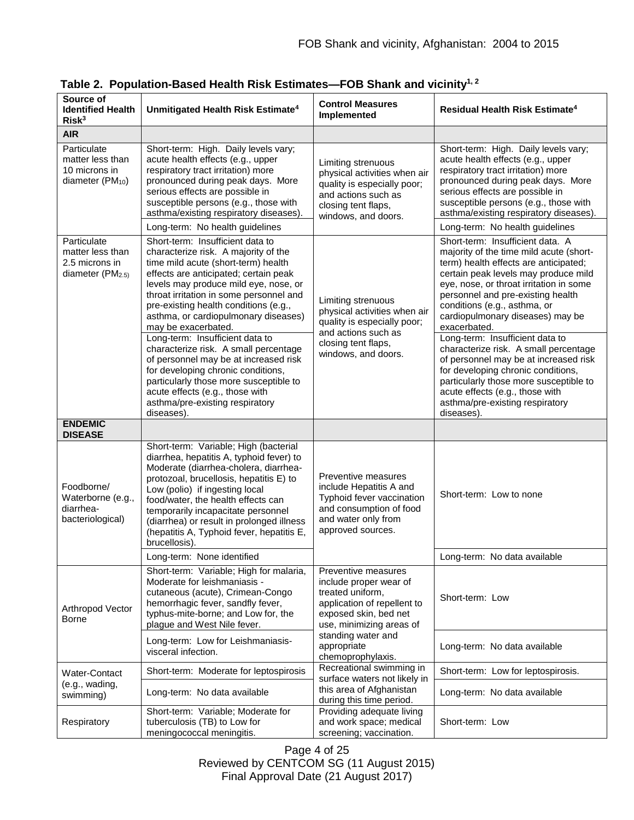| Source of<br><b>Identified Health</b><br>Risk <sup>3</sup>                        | Unmitigated Health Risk Estimate <sup>4</sup>                                                                                                                                                                                                                                                                                                                                                  | <b>Control Measures</b><br>Implemented                                                                                                                 | <b>Residual Health Risk Estimate<sup>4</sup></b>                                                                                                                                                                                                                                                                                 |
|-----------------------------------------------------------------------------------|------------------------------------------------------------------------------------------------------------------------------------------------------------------------------------------------------------------------------------------------------------------------------------------------------------------------------------------------------------------------------------------------|--------------------------------------------------------------------------------------------------------------------------------------------------------|----------------------------------------------------------------------------------------------------------------------------------------------------------------------------------------------------------------------------------------------------------------------------------------------------------------------------------|
| <b>AIR</b>                                                                        |                                                                                                                                                                                                                                                                                                                                                                                                |                                                                                                                                                        |                                                                                                                                                                                                                                                                                                                                  |
| Particulate<br>matter less than<br>10 microns in<br>diameter (PM <sub>10</sub> )  | Short-term: High. Daily levels vary;<br>acute health effects (e.g., upper<br>respiratory tract irritation) more<br>pronounced during peak days. More<br>serious effects are possible in<br>susceptible persons (e.g., those with<br>asthma/existing respiratory diseases).                                                                                                                     | Limiting strenuous<br>physical activities when air<br>quality is especially poor;<br>and actions such as<br>closing tent flaps,<br>windows, and doors. | Short-term: High. Daily levels vary;<br>acute health effects (e.g., upper<br>respiratory tract irritation) more<br>pronounced during peak days. More<br>serious effects are possible in<br>susceptible persons (e.g., those with<br>asthma/existing respiratory diseases)                                                        |
|                                                                                   | Long-term: No health guidelines                                                                                                                                                                                                                                                                                                                                                                |                                                                                                                                                        | Long-term: No health guidelines                                                                                                                                                                                                                                                                                                  |
| Particulate<br>matter less than<br>2.5 microns in<br>diameter (PM <sub>2.5)</sub> | Short-term: Insufficient data to<br>characterize risk. A majority of the<br>time mild acute (short-term) health<br>effects are anticipated; certain peak<br>levels may produce mild eye, nose, or<br>throat irritation in some personnel and<br>pre-existing health conditions (e.g.,<br>asthma, or cardiopulmonary diseases)<br>may be exacerbated.                                           | Limiting strenuous<br>physical activities when air<br>quality is especially poor;                                                                      | Short-term: Insufficient data. A<br>majority of the time mild acute (short-<br>term) health effects are anticipated;<br>certain peak levels may produce mild<br>eye, nose, or throat irritation in some<br>personnel and pre-existing health<br>conditions (e.g., asthma, or<br>cardiopulmonary diseases) may be<br>exacerbated. |
|                                                                                   | Long-term: Insufficient data to<br>characterize risk. A small percentage<br>of personnel may be at increased risk<br>for developing chronic conditions,<br>particularly those more susceptible to<br>acute effects (e.g., those with<br>asthma/pre-existing respiratory<br>diseases).                                                                                                          | and actions such as<br>closing tent flaps,<br>windows, and doors.                                                                                      | Long-term: Insufficient data to<br>characterize risk. A small percentage<br>of personnel may be at increased risk<br>for developing chronic conditions,<br>particularly those more susceptible to<br>acute effects (e.g., those with<br>asthma/pre-existing respiratory<br>diseases).                                            |
| <b>ENDEMIC</b><br><b>DISEASE</b>                                                  |                                                                                                                                                                                                                                                                                                                                                                                                |                                                                                                                                                        |                                                                                                                                                                                                                                                                                                                                  |
| Foodborne/<br>Waterborne (e.g.,<br>diarrhea-<br>bacteriological)                  | Short-term: Variable; High (bacterial<br>diarrhea, hepatitis A, typhoid fever) to<br>Moderate (diarrhea-cholera, diarrhea-<br>protozoal, brucellosis, hepatitis E) to<br>Low (polio) if ingesting local<br>food/water, the health effects can<br>temporarily incapacitate personnel<br>(diarrhea) or result in prolonged illness<br>(hepatitis A, Typhoid fever, hepatitis E,<br>brucellosis). | Preventive measures<br>include Hepatitis A and<br>Typhoid fever vaccination<br>and consumption of food<br>and water only from<br>approved sources.     | Short-term: Low to none                                                                                                                                                                                                                                                                                                          |
|                                                                                   | Long-term: None identified                                                                                                                                                                                                                                                                                                                                                                     |                                                                                                                                                        | Long-term: No data available                                                                                                                                                                                                                                                                                                     |
| Arthropod Vector<br><b>Borne</b>                                                  | Short-term: Variable; High for malaria,<br>Moderate for leishmaniasis -<br>cutaneous (acute), Crimean-Congo<br>hemorrhagic fever, sandfly fever,<br>typhus-mite-borne; and Low for, the<br>plague and West Nile fever.                                                                                                                                                                         | Preventive measures<br>include proper wear of<br>treated uniform,<br>application of repellent to<br>exposed skin, bed net<br>use, minimizing areas of  | Short-term: Low                                                                                                                                                                                                                                                                                                                  |
|                                                                                   | Long-term: Low for Leishmaniasis-<br>visceral infection.                                                                                                                                                                                                                                                                                                                                       | standing water and<br>appropriate<br>chemoprophylaxis.                                                                                                 | Long-term: No data available                                                                                                                                                                                                                                                                                                     |
| Water-Contact                                                                     | Short-term: Moderate for leptospirosis                                                                                                                                                                                                                                                                                                                                                         | Recreational swimming in<br>surface waters not likely in                                                                                               | Short-term: Low for leptospirosis.                                                                                                                                                                                                                                                                                               |
| (e.g., wading,<br>swimming)                                                       | Long-term: No data available                                                                                                                                                                                                                                                                                                                                                                   | this area of Afghanistan<br>during this time period.                                                                                                   | Long-term: No data available                                                                                                                                                                                                                                                                                                     |
| Respiratory                                                                       | Short-term: Variable; Moderate for<br>tuberculosis (TB) to Low for<br>meningococcal meningitis.                                                                                                                                                                                                                                                                                                | Providing adequate living<br>and work space; medical<br>screening; vaccination.                                                                        | Short-term: Low                                                                                                                                                                                                                                                                                                                  |

**Table 2. Population-Based Health Risk Estimates—FOB Shank and vicinity1, 2**

Page 4 of 25 Reviewed by CENTCOM SG (11 August 2015) Final Approval Date (21 August 2017)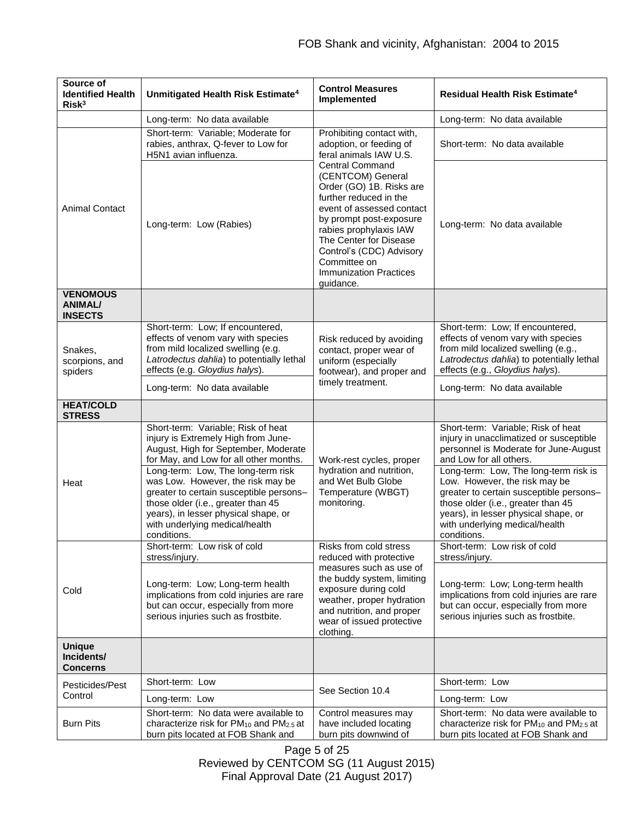| Source of<br><b>Identified Health</b><br>Risk <sup>3</sup> | Unmitigated Health Risk Estimate <sup>4</sup>                                                                                                                                                                                                                                                                                                                                                                    | <b>Control Measures</b><br>Implemented                                                                                                                                                                                                                                                                  | Residual Health Risk Estimate <sup>4</sup>                                                                                                                                                                                                                                                                                                                                                            |
|------------------------------------------------------------|------------------------------------------------------------------------------------------------------------------------------------------------------------------------------------------------------------------------------------------------------------------------------------------------------------------------------------------------------------------------------------------------------------------|---------------------------------------------------------------------------------------------------------------------------------------------------------------------------------------------------------------------------------------------------------------------------------------------------------|-------------------------------------------------------------------------------------------------------------------------------------------------------------------------------------------------------------------------------------------------------------------------------------------------------------------------------------------------------------------------------------------------------|
|                                                            | Long-term: No data available                                                                                                                                                                                                                                                                                                                                                                                     |                                                                                                                                                                                                                                                                                                         | Long-term: No data available                                                                                                                                                                                                                                                                                                                                                                          |
| <b>Animal Contact</b>                                      | Short-term: Variable; Moderate for<br>rabies, anthrax, Q-fever to Low for<br>H5N1 avian influenza.                                                                                                                                                                                                                                                                                                               | Prohibiting contact with,<br>adoption, or feeding of<br>feral animals IAW U.S.                                                                                                                                                                                                                          | Short-term: No data available                                                                                                                                                                                                                                                                                                                                                                         |
|                                                            | Long-term: Low (Rabies)                                                                                                                                                                                                                                                                                                                                                                                          | <b>Central Command</b><br>(CENTCOM) General<br>Order (GO) 1B. Risks are<br>further reduced in the<br>event of assessed contact<br>by prompt post-exposure<br>rabies prophylaxis IAW<br>The Center for Disease<br>Control's (CDC) Advisory<br>Committee on<br><b>Immunization Practices</b><br>guidance. | Long-term: No data available                                                                                                                                                                                                                                                                                                                                                                          |
| <b>VENOMOUS</b><br><b>ANIMAL/</b><br><b>INSECTS</b>        |                                                                                                                                                                                                                                                                                                                                                                                                                  |                                                                                                                                                                                                                                                                                                         |                                                                                                                                                                                                                                                                                                                                                                                                       |
| Snakes,<br>scorpions, and<br>spiders                       | Short-term: Low; If encountered,<br>effects of venom vary with species<br>from mild localized swelling (e.g.<br>Latrodectus dahlia) to potentially lethal<br>effects (e.g. Gloydius halys).                                                                                                                                                                                                                      | Risk reduced by avoiding<br>contact, proper wear of<br>uniform (especially<br>footwear), and proper and                                                                                                                                                                                                 | Short-term: Low; If encountered,<br>effects of venom vary with species<br>from mild localized swelling (e.g.,<br>Latrodectus dahlia) to potentially lethal<br>effects (e.g., Gloydius halys).                                                                                                                                                                                                         |
|                                                            | Long-term: No data available                                                                                                                                                                                                                                                                                                                                                                                     | timely treatment.                                                                                                                                                                                                                                                                                       | Long-term: No data available                                                                                                                                                                                                                                                                                                                                                                          |
| <b>HEAT/COLD</b><br><b>STRESS</b>                          |                                                                                                                                                                                                                                                                                                                                                                                                                  |                                                                                                                                                                                                                                                                                                         |                                                                                                                                                                                                                                                                                                                                                                                                       |
| Heat                                                       | Short-term: Variable; Risk of heat<br>injury is Extremely High from June-<br>August, High for September, Moderate<br>for May, and Low for all other months.<br>Long-term: Low, The long-term risk<br>was Low. However, the risk may be<br>greater to certain susceptible persons-<br>those older (i.e., greater than 45<br>years), in lesser physical shape, or<br>with underlying medical/health<br>conditions. | Work-rest cycles, proper<br>hydration and nutrition,<br>and Wet Bulb Globe<br>Temperature (WBGT)<br>monitoring.                                                                                                                                                                                         | Short-term: Variable; Risk of heat<br>injury in unacclimatized or susceptible<br>personnel is Moderate for June-August<br>and Low for all others.<br>Long-term: Low, The long-term risk is<br>Low. However, the risk may be<br>greater to certain susceptible persons-<br>those older (i.e., greater than 45<br>years), in lesser physical shape, or<br>with underlying medical/health<br>conditions. |
| Cold                                                       | Short-term: Low risk of cold<br>stress/injury.<br>Long-term: Low; Long-term health<br>implications from cold injuries are rare<br>but can occur, especially from more<br>serious injuries such as frostbite.                                                                                                                                                                                                     | Risks from cold stress<br>reduced with protective<br>measures such as use of<br>the buddy system, limiting<br>exposure during cold<br>weather, proper hydration<br>and nutrition, and proper<br>wear of issued protective<br>clothing.                                                                  | Short-term: Low risk of cold<br>stress/injury.<br>Long-term: Low; Long-term health<br>implications from cold injuries are rare<br>but can occur, especially from more<br>serious injuries such as frostbite.                                                                                                                                                                                          |
| <b>Unique</b><br>Incidents/<br><b>Concerns</b>             |                                                                                                                                                                                                                                                                                                                                                                                                                  |                                                                                                                                                                                                                                                                                                         |                                                                                                                                                                                                                                                                                                                                                                                                       |
| Pesticides/Pest<br>Control                                 | Short-term: Low                                                                                                                                                                                                                                                                                                                                                                                                  | See Section 10.4                                                                                                                                                                                                                                                                                        | Short-term: Low                                                                                                                                                                                                                                                                                                                                                                                       |
|                                                            | Long-term: Low                                                                                                                                                                                                                                                                                                                                                                                                   |                                                                                                                                                                                                                                                                                                         | Long-term: Low                                                                                                                                                                                                                                                                                                                                                                                        |
| <b>Burn Pits</b>                                           | Short-term: No data were available to<br>characterize risk for PM <sub>10</sub> and PM <sub>2.5</sub> at<br>burn pits located at FOB Shank and                                                                                                                                                                                                                                                                   | Control measures may<br>have included locating<br>burn pits downwind of                                                                                                                                                                                                                                 | Short-term: No data were available to<br>characterize risk for PM <sub>10</sub> and PM <sub>2.5</sub> at<br>burn pits located at FOB Shank and                                                                                                                                                                                                                                                        |

Page 5 of 25 Reviewed by CENTCOM SG (11 August 2015) Final Approval Date (21 August 2017)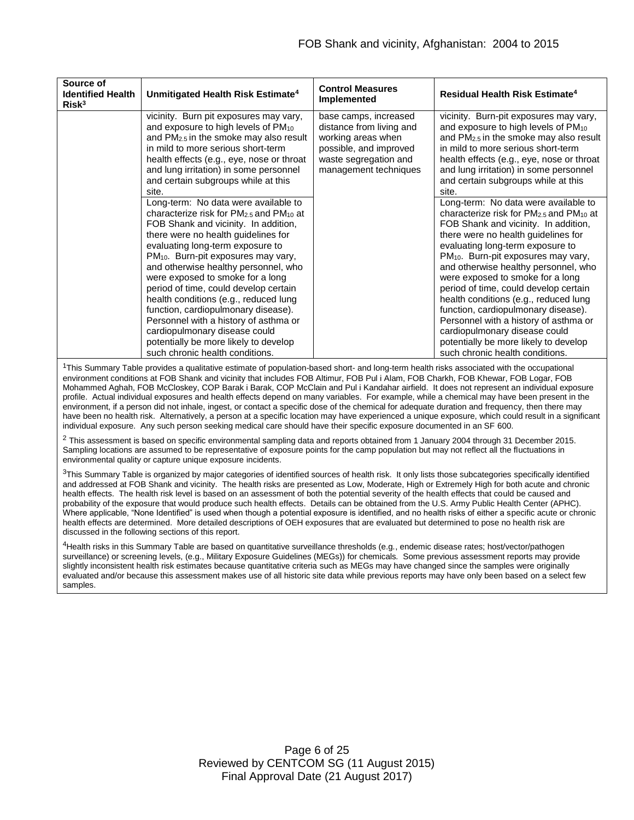| Source of<br><b>Identified Health</b><br>Risk <sup>3</sup> | Unmitigated Health Risk Estimate <sup>4</sup>                                                                                                                                                                                                                                                                                                                                                                                                                                                                                                                                                                                                                                            | <b>Control Measures</b><br>Implemented                                                                                                              | Residual Health Risk Estimate <sup>4</sup>                                                                                                                                                                                                                                                                                                                                                                                                                                                                                                                                                                                                                                                           |
|------------------------------------------------------------|------------------------------------------------------------------------------------------------------------------------------------------------------------------------------------------------------------------------------------------------------------------------------------------------------------------------------------------------------------------------------------------------------------------------------------------------------------------------------------------------------------------------------------------------------------------------------------------------------------------------------------------------------------------------------------------|-----------------------------------------------------------------------------------------------------------------------------------------------------|------------------------------------------------------------------------------------------------------------------------------------------------------------------------------------------------------------------------------------------------------------------------------------------------------------------------------------------------------------------------------------------------------------------------------------------------------------------------------------------------------------------------------------------------------------------------------------------------------------------------------------------------------------------------------------------------------|
|                                                            | vicinity. Burn pit exposures may vary,<br>and exposure to high levels of PM10<br>and $PM2.5$ in the smoke may also result<br>in mild to more serious short-term<br>health effects (e.g., eye, nose or throat<br>and lung irritation) in some personnel<br>and certain subgroups while at this<br>site.<br>Long-term: No data were available to<br>characterize risk for $PM2.5$ and $PM10$ at<br>FOB Shank and vicinity. In addition,<br>there were no health guidelines for<br>evaluating long-term exposure to<br>PM <sub>10</sub> . Burn-pit exposures may vary,<br>and otherwise healthy personnel, who<br>were exposed to smoke for a long<br>period of time, could develop certain | base camps, increased<br>distance from living and<br>working areas when<br>possible, and improved<br>waste segregation and<br>management techniques | vicinity. Burn-pit exposures may vary,<br>and exposure to high levels of PM <sub>10</sub><br>and $PM2.5$ in the smoke may also result<br>in mild to more serious short-term<br>health effects (e.g., eye, nose or throat<br>and lung irritation) in some personnel<br>and certain subgroups while at this<br>site.<br>Long-term: No data were available to<br>characterize risk for $PM2.5$ and $PM10$ at<br>FOB Shank and vicinity. In addition,<br>there were no health guidelines for<br>evaluating long-term exposure to<br>PM <sub>10</sub> . Burn-pit exposures may vary,<br>and otherwise healthy personnel, who<br>were exposed to smoke for a long<br>period of time, could develop certain |
|                                                            | health conditions (e.g., reduced lung<br>function, cardiopulmonary disease).                                                                                                                                                                                                                                                                                                                                                                                                                                                                                                                                                                                                             |                                                                                                                                                     | health conditions (e.g., reduced lung<br>function, cardiopulmonary disease).                                                                                                                                                                                                                                                                                                                                                                                                                                                                                                                                                                                                                         |
|                                                            | Personnel with a history of asthma or                                                                                                                                                                                                                                                                                                                                                                                                                                                                                                                                                                                                                                                    |                                                                                                                                                     | Personnel with a history of asthma or                                                                                                                                                                                                                                                                                                                                                                                                                                                                                                                                                                                                                                                                |
|                                                            | cardiopulmonary disease could                                                                                                                                                                                                                                                                                                                                                                                                                                                                                                                                                                                                                                                            |                                                                                                                                                     | cardiopulmonary disease could                                                                                                                                                                                                                                                                                                                                                                                                                                                                                                                                                                                                                                                                        |
|                                                            | potentially be more likely to develop<br>such chronic health conditions.                                                                                                                                                                                                                                                                                                                                                                                                                                                                                                                                                                                                                 |                                                                                                                                                     | potentially be more likely to develop<br>such chronic health conditions.                                                                                                                                                                                                                                                                                                                                                                                                                                                                                                                                                                                                                             |

<sup>1</sup>This Summary Table provides a qualitative estimate of population-based short- and long-term health risks associated with the occupational environment conditions at FOB Shank and vicinity that includes FOB Altimur, FOB Pul i Alam, FOB Charkh, FOB Khewar, FOB Logar, FOB Mohammed Aghah, FOB McCloskey, COP Barak i Barak, COP McClain and Pul i Kandahar airfield. It does not represent an individual exposure profile. Actual individual exposures and health effects depend on many variables. For example, while a chemical may have been present in the environment, if a person did not inhale, ingest, or contact a specific dose of the chemical for adequate duration and frequency, then there may have been no health risk. Alternatively, a person at a specific location may have experienced a unique exposure, which could result in a significant individual exposure. Any such person seeking medical care should have their specific exposure documented in an SF 600.

<sup>2</sup> This assessment is based on specific environmental sampling data and reports obtained from 1 January 2004 through 31 December 2015. Sampling locations are assumed to be representative of exposure points for the camp population but may not reflect all the fluctuations in environmental quality or capture unique exposure incidents.

<sup>3</sup>This Summary Table is organized by major categories of identified sources of health risk. It only lists those subcategories specifically identified and addressed at FOB Shank and vicinity. The health risks are presented as Low, Moderate, High or Extremely High for both acute and chronic health effects. The health risk level is based on an assessment of both the potential severity of the health effects that could be caused and probability of the exposure that would produce such health effects. Details can be obtained from the U.S. Army Public Health Center (APHC). Where applicable, "None Identified" is used when though a potential exposure is identified, and no health risks of either a specific acute or chronic health effects are determined. More detailed descriptions of OEH exposures that are evaluated but determined to pose no health risk are discussed in the following sections of this report.

<sup>4</sup>Health risks in this Summary Table are based on quantitative surveillance thresholds (e.g., endemic disease rates; host/vector/pathogen surveillance) or screening levels, (e.g., Military Exposure Guidelines (MEGs)) for chemicals*.* Some previous assessment reports may provide slightly inconsistent health risk estimates because quantitative criteria such as MEGs may have changed since the samples were originally evaluated and/or because this assessment makes use of all historic site data while previous reports may have only been based on a select few samples.

> Page 6 of 25 Reviewed by CENTCOM SG (11 August 2015) Final Approval Date (21 August 2017)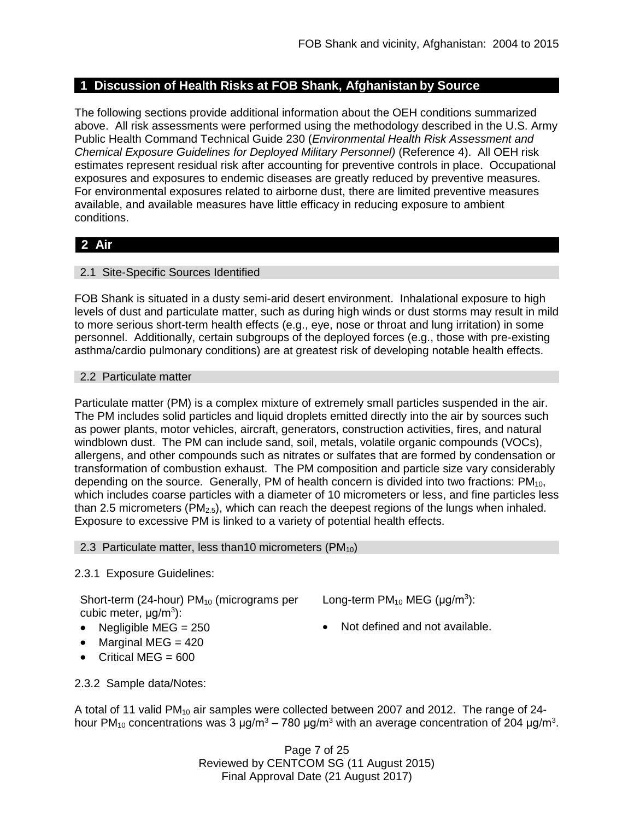# **1 Discussion of Health Risks at FOB Shank, Afghanistan by Source**

The following sections provide additional information about the OEH conditions summarized above. All risk assessments were performed using the methodology described in the U.S. Army Public Health Command Technical Guide 230 (*Environmental Health Risk Assessment and Chemical Exposure Guidelines for Deployed Military Personnel)* (Reference 4). All OEH risk estimates represent residual risk after accounting for preventive controls in place. Occupational exposures and exposures to endemic diseases are greatly reduced by preventive measures. For environmental exposures related to airborne dust, there are limited preventive measures available, and available measures have little efficacy in reducing exposure to ambient conditions.

# **2 Air**

## 2.1 Site-Specific Sources Identified

FOB Shank is situated in a dusty semi-arid desert environment. Inhalational exposure to high levels of dust and particulate matter, such as during high winds or dust storms may result in mild to more serious short-term health effects (e.g., eye, nose or throat and lung irritation) in some personnel. Additionally, certain subgroups of the deployed forces (e.g., those with pre-existing asthma/cardio pulmonary conditions) are at greatest risk of developing notable health effects.

## 2.2 Particulate matter

Particulate matter (PM) is a complex mixture of extremely small particles suspended in the air. The PM includes solid particles and liquid droplets emitted directly into the air by sources such as power plants, motor vehicles, aircraft, generators, construction activities, fires, and natural windblown dust. The PM can include sand, soil, metals, volatile organic compounds (VOCs), allergens, and other compounds such as nitrates or sulfates that are formed by condensation or transformation of combustion exhaust. The PM composition and particle size vary considerably depending on the source. Generally, PM of health concern is divided into two fractions:  $PM_{10}$ , which includes coarse particles with a diameter of 10 micrometers or less, and fine particles less than 2.5 micrometers ( $PM_{2.5}$ ), which can reach the deepest regions of the lungs when inhaled. Exposure to excessive PM is linked to a variety of potential health effects.

## 2.3 Particulate matter, less than 10 micrometers (PM $_{10}$ )

# 2.3.1 Exposure Guidelines:

Short-term (24-hour) PM<sub>10</sub> (micrograms per cubic meter, μg/m<sup>3</sup>):

- 
- Marginal MEG  $= 420$
- Critical MEG =  $600$
- Long-term  $PM_{10}$  MEG ( $\mu$ g/m<sup>3</sup>):
- Negligible MEG =  $250$   $\bullet$  Not defined and not available.

2.3.2 Sample data/Notes:

A total of 11 valid PM<sub>10</sub> air samples were collected between 2007 and 2012. The range of 24hour PM<sub>10</sub> concentrations was 3  $\mu$ g/m<sup>3</sup> – 780  $\mu$ g/m<sup>3</sup> with an average concentration of 204  $\mu$ g/m<sup>3</sup>.

> Page 7 of 25 Reviewed by CENTCOM SG (11 August 2015) Final Approval Date (21 August 2017)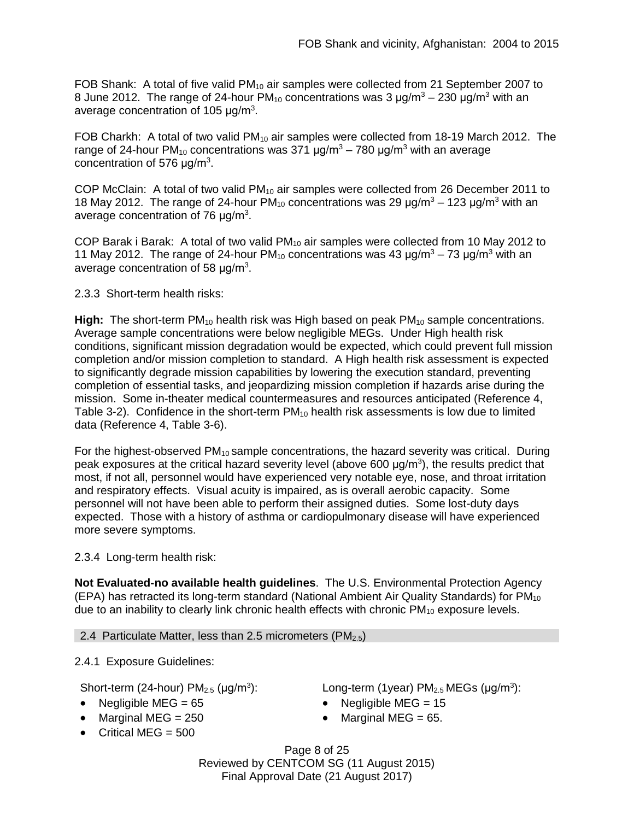FOB Shank: A total of five valid  $PM_{10}$  air samples were collected from 21 September 2007 to 8 June 2012. The range of 24-hour  $PM_{10}$  concentrations was 3  $\mu$ g/m<sup>3</sup> – 230  $\mu$ g/m<sup>3</sup> with an average concentration of 105  $\mu$ g/m<sup>3</sup>.

FOB Charkh: A total of two valid  $PM_{10}$  air samples were collected from 18-19 March 2012. The range of 24-hour PM<sub>10</sub> concentrations was 371  $\mu$ g/m<sup>3</sup> – 780  $\mu$ g/m<sup>3</sup> with an average concentration of 576  $\mu$ g/m<sup>3</sup>.

COP McClain: A total of two valid  $PM_{10}$  air samples were collected from 26 December 2011 to 18 May 2012. The range of 24-hour PM<sub>10</sub> concentrations was 29  $\mu q/m^3 - 123 \mu q/m^3$  with an average concentration of 76  $\mu$ g/m<sup>3</sup>.

COP Barak i Barak: A total of two valid  $PM_{10}$  air samples were collected from 10 May 2012 to 11 May 2012. The range of 24-hour  $PM_{10}$  concentrations was 43  $\mu$ g/m<sup>3</sup> – 73  $\mu$ g/m<sup>3</sup> with an average concentration of 58  $\mu$ g/m<sup>3</sup>.

## 2.3.3 Short-term health risks:

**High:** The short-term PM<sub>10</sub> health risk was High based on peak PM<sub>10</sub> sample concentrations. Average sample concentrations were below negligible MEGs. Under High health risk conditions, significant mission degradation would be expected, which could prevent full mission completion and/or mission completion to standard. A High health risk assessment is expected to significantly degrade mission capabilities by lowering the execution standard, preventing completion of essential tasks, and jeopardizing mission completion if hazards arise during the mission. Some in-theater medical countermeasures and resources anticipated (Reference 4, Table 3-2). Confidence in the short-term  $PM_{10}$  health risk assessments is low due to limited data (Reference 4, Table 3-6).

For the highest-observed  $PM_{10}$  sample concentrations, the hazard severity was critical. During peak exposures at the critical hazard severity level (above 600  $\mu$ g/m<sup>3</sup>), the results predict that most, if not all, personnel would have experienced very notable eye, nose, and throat irritation and respiratory effects. Visual acuity is impaired, as is overall aerobic capacity. Some personnel will not have been able to perform their assigned duties. Some lost-duty days expected. Those with a history of asthma or cardiopulmonary disease will have experienced more severe symptoms.

2.3.4 Long-term health risk:

**Not Evaluated-no available health guidelines**. The U.S. Environmental Protection Agency (EPA) has retracted its long-term standard (National Ambient Air Quality Standards) for PM<sub>10</sub> due to an inability to clearly link chronic health effects with chronic  $PM_{10}$  exposure levels.

2.4 Particulate Matter, less than 2.5 micrometers ( $PM<sub>2.5</sub>$ )

2.4.1 Exposure Guidelines:

Short-term (24-hour)  $PM<sub>2.5</sub>$  ( $\mu$ g/m<sup>3</sup>):

- Negligible MEG =  $65$  Negligible MEG =  $15$
- Marginal MEG =  $250$  Marginal MEG =  $65$ .
- $\bullet$  Critical MEG = 500

): Long-term (1year)  $PM_{2.5}$  MEGs ( $\mu$ g/m<sup>3</sup>):

- 
- 

Page 8 of 25 Reviewed by CENTCOM SG (11 August 2015) Final Approval Date (21 August 2017)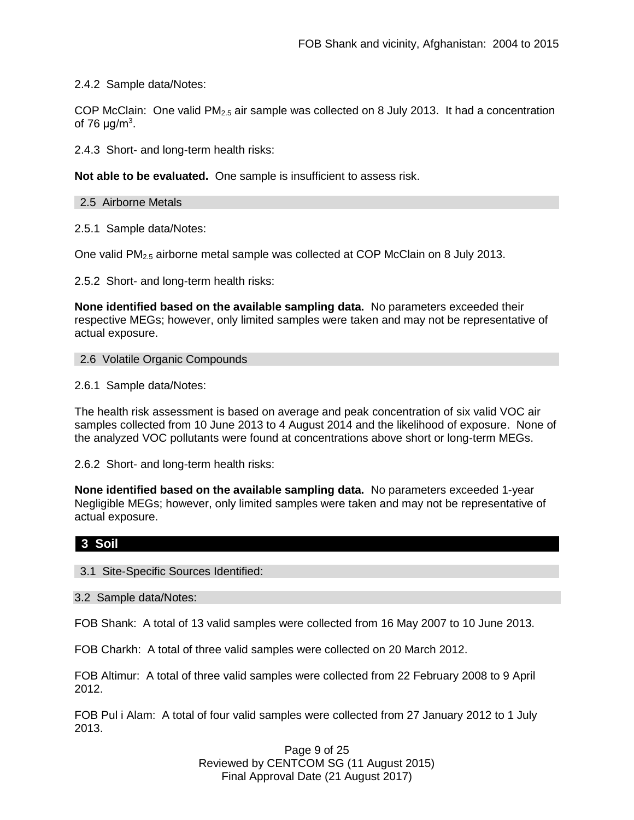2.4.2 Sample data/Notes:

COP McClain: One valid  $PM_{2.5}$  air sample was collected on 8 July 2013. It had a concentration of 76  $\mu$ g/m<sup>3</sup>.

2.4.3 Short- and long-term health risks:

**Not able to be evaluated.** One sample is insufficient to assess risk.

2.5 Airborne Metals

2.5.1 Sample data/Notes:

One valid PM2.5 airborne metal sample was collected at COP McClain on 8 July 2013.

2.5.2 Short- and long-term health risks:

**None identified based on the available sampling data.** No parameters exceeded their respective MEGs; however, only limited samples were taken and may not be representative of actual exposure.

#### 2.6 Volatile Organic Compounds

2.6.1 Sample data/Notes:

The health risk assessment is based on average and peak concentration of six valid VOC air samples collected from 10 June 2013 to 4 August 2014 and the likelihood of exposure. None of the analyzed VOC pollutants were found at concentrations above short or long-term MEGs.

2.6.2 Short- and long-term health risks:

**None identified based on the available sampling data.** No parameters exceeded 1-year Negligible MEGs; however, only limited samples were taken and may not be representative of actual exposure.

# **3 Soil**

#### 3.1 Site-Specific Sources Identified:

3.2 Sample data/Notes:

FOB Shank: A total of 13 valid samples were collected from 16 May 2007 to 10 June 2013.

FOB Charkh: A total of three valid samples were collected on 20 March 2012.

FOB Altimur: A total of three valid samples were collected from 22 February 2008 to 9 April 2012.

FOB Pul i Alam: A total of four valid samples were collected from 27 January 2012 to 1 July 2013.

> Page 9 of 25 Reviewed by CENTCOM SG (11 August 2015) Final Approval Date (21 August 2017)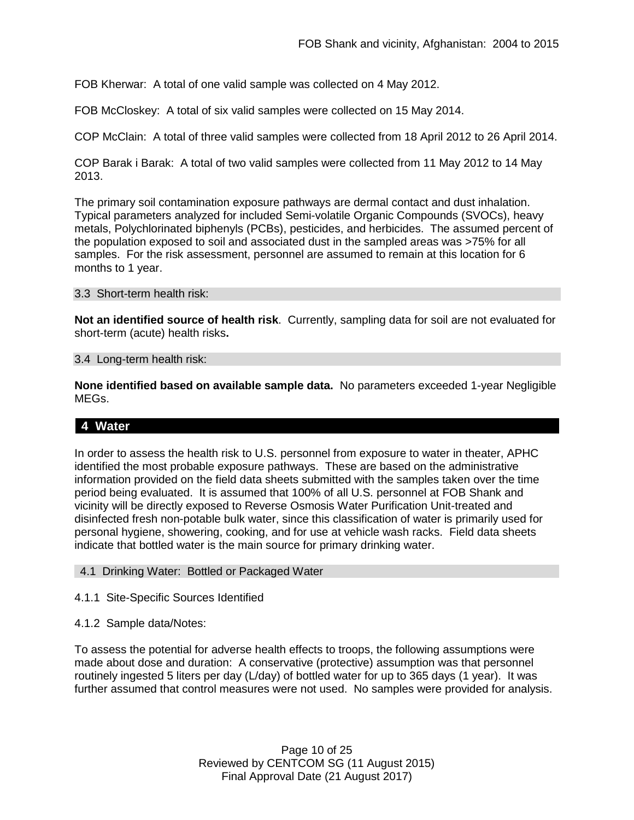FOB Kherwar: A total of one valid sample was collected on 4 May 2012.

FOB McCloskey: A total of six valid samples were collected on 15 May 2014.

COP McClain: A total of three valid samples were collected from 18 April 2012 to 26 April 2014.

COP Barak i Barak: A total of two valid samples were collected from 11 May 2012 to 14 May 2013.

The primary soil contamination exposure pathways are dermal contact and dust inhalation. Typical parameters analyzed for included Semi-volatile Organic Compounds (SVOCs), heavy metals, Polychlorinated biphenyls (PCBs), pesticides, and herbicides. The assumed percent of the population exposed to soil and associated dust in the sampled areas was >75% for all samples. For the risk assessment, personnel are assumed to remain at this location for 6 months to 1 year.

#### 3.3 Short-term health risk:

**Not an identified source of health risk**. Currently, sampling data for soil are not evaluated for short-term (acute) health risks**.**

#### 3.4 Long-term health risk:

**None identified based on available sample data.** No parameters exceeded 1-year Negligible MEGs.

# **4 Water**

In order to assess the health risk to U.S. personnel from exposure to water in theater, APHC identified the most probable exposure pathways. These are based on the administrative information provided on the field data sheets submitted with the samples taken over the time period being evaluated. It is assumed that 100% of all U.S. personnel at FOB Shank and vicinity will be directly exposed to Reverse Osmosis Water Purification Unit-treated and disinfected fresh non-potable bulk water, since this classification of water is primarily used for personal hygiene, showering, cooking, and for use at vehicle wash racks. Field data sheets indicate that bottled water is the main source for primary drinking water.

#### 4.1 Drinking Water: Bottled or Packaged Water

- 4.1.1 Site-Specific Sources Identified
- 4.1.2 Sample data/Notes:

To assess the potential for adverse health effects to troops, the following assumptions were made about dose and duration: A conservative (protective) assumption was that personnel routinely ingested 5 liters per day (L/day) of bottled water for up to 365 days (1 year). It was further assumed that control measures were not used. No samples were provided for analysis.

> Page 10 of 25 Reviewed by CENTCOM SG (11 August 2015) Final Approval Date (21 August 2017)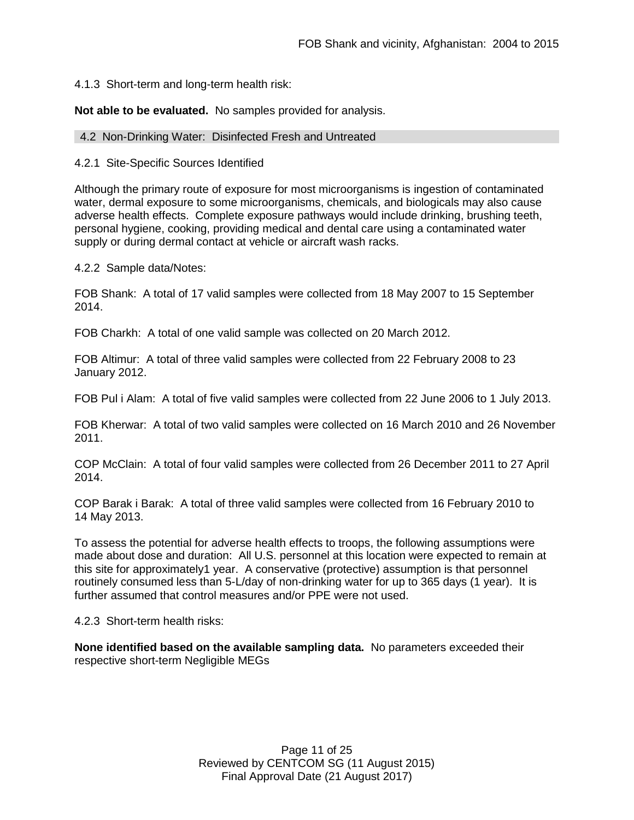## 4.1.3 Short-term and long-term health risk:

**Not able to be evaluated.** No samples provided for analysis.

#### 4.2 Non-Drinking Water: Disinfected Fresh and Untreated

#### 4.2.1 Site-Specific Sources Identified

Although the primary route of exposure for most microorganisms is ingestion of contaminated water, dermal exposure to some microorganisms, chemicals, and biologicals may also cause adverse health effects. Complete exposure pathways would include drinking, brushing teeth, personal hygiene, cooking, providing medical and dental care using a contaminated water supply or during dermal contact at vehicle or aircraft wash racks.

4.2.2 Sample data/Notes:

FOB Shank: A total of 17 valid samples were collected from 18 May 2007 to 15 September 2014.

FOB Charkh: A total of one valid sample was collected on 20 March 2012.

FOB Altimur: A total of three valid samples were collected from 22 February 2008 to 23 January 2012.

FOB Pul i Alam: A total of five valid samples were collected from 22 June 2006 to 1 July 2013.

FOB Kherwar: A total of two valid samples were collected on 16 March 2010 and 26 November 2011.

COP McClain: A total of four valid samples were collected from 26 December 2011 to 27 April 2014.

COP Barak i Barak: A total of three valid samples were collected from 16 February 2010 to 14 May 2013.

To assess the potential for adverse health effects to troops, the following assumptions were made about dose and duration: All U.S. personnel at this location were expected to remain at this site for approximately1 year. A conservative (protective) assumption is that personnel routinely consumed less than 5-L/day of non-drinking water for up to 365 days (1 year). It is further assumed that control measures and/or PPE were not used.

4.2.3 Short-term health risks:

**None identified based on the available sampling data.** No parameters exceeded their respective short-term Negligible MEGs

> Page 11 of 25 Reviewed by CENTCOM SG (11 August 2015) Final Approval Date (21 August 2017)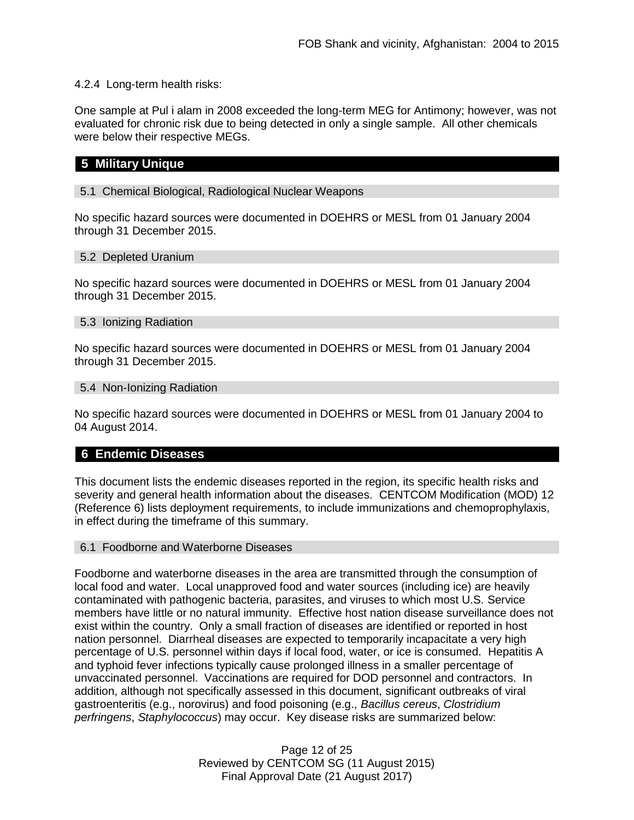## 4.2.4 Long-term health risks:

One sample at Pul i alam in 2008 exceeded the long-term MEG for Antimony; however, was not evaluated for chronic risk due to being detected in only a single sample. All other chemicals were below their respective MEGs.

# **5 Military Unique**

### 5.1 Chemical Biological, Radiological Nuclear Weapons

No specific hazard sources were documented in DOEHRS or MESL from 01 January 2004 through 31 December 2015.

#### 5.2 Depleted Uranium

No specific hazard sources were documented in DOEHRS or MESL from 01 January 2004 through 31 December 2015.

#### 5.3 Ionizing Radiation

No specific hazard sources were documented in DOEHRS or MESL from 01 January 2004 through 31 December 2015.

#### 5.4 Non-Ionizing Radiation

No specific hazard sources were documented in DOEHRS or MESL from 01 January 2004 to 04 August 2014.

# **6 Endemic Diseases**

This document lists the endemic diseases reported in the region, its specific health risks and severity and general health information about the diseases. CENTCOM Modification (MOD) 12 (Reference 6) lists deployment requirements, to include immunizations and chemoprophylaxis, in effect during the timeframe of this summary.

#### 6.1 Foodborne and Waterborne Diseases

Foodborne and waterborne diseases in the area are transmitted through the consumption of local food and water. Local unapproved food and water sources (including ice) are heavily contaminated with pathogenic bacteria, parasites, and viruses to which most U.S. Service members have little or no natural immunity. Effective host nation disease surveillance does not exist within the country. Only a small fraction of diseases are identified or reported in host nation personnel. Diarrheal diseases are expected to temporarily incapacitate a very high percentage of U.S. personnel within days if local food, water, or ice is consumed. Hepatitis A and typhoid fever infections typically cause prolonged illness in a smaller percentage of unvaccinated personnel. Vaccinations are required for DOD personnel and contractors. In addition, although not specifically assessed in this document, significant outbreaks of viral gastroenteritis (e.g., norovirus) and food poisoning (e.g., *Bacillus cereus*, *Clostridium perfringens*, *Staphylococcus*) may occur. Key disease risks are summarized below:

> Page 12 of 25 Reviewed by CENTCOM SG (11 August 2015) Final Approval Date (21 August 2017)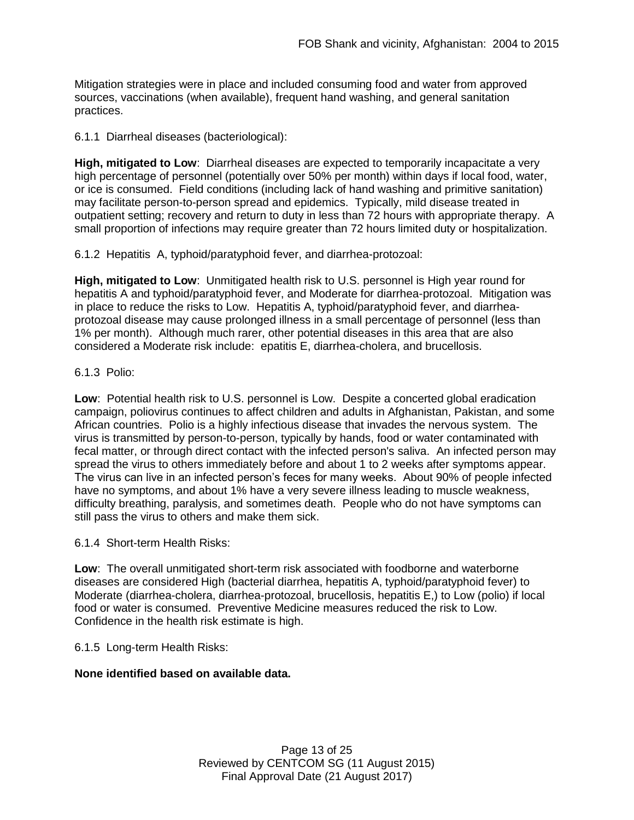Mitigation strategies were in place and included consuming food and water from approved sources, vaccinations (when available), frequent hand washing, and general sanitation practices.

6.1.1 Diarrheal diseases (bacteriological):

**High, mitigated to Low**: Diarrheal diseases are expected to temporarily incapacitate a very high percentage of personnel (potentially over 50% per month) within days if local food, water, or ice is consumed. Field conditions (including lack of hand washing and primitive sanitation) may facilitate person-to-person spread and epidemics. Typically, mild disease treated in outpatient setting; recovery and return to duty in less than 72 hours with appropriate therapy. A small proportion of infections may require greater than 72 hours limited duty or hospitalization.

6.1.2 Hepatitis A, typhoid/paratyphoid fever, and diarrhea-protozoal:

**High, mitigated to Low**: Unmitigated health risk to U.S. personnel is High year round for hepatitis A and typhoid/paratyphoid fever, and Moderate for diarrhea-protozoal. Mitigation was in place to reduce the risks to Low. Hepatitis A, typhoid/paratyphoid fever, and diarrheaprotozoal disease may cause prolonged illness in a small percentage of personnel (less than 1% per month). Although much rarer, other potential diseases in this area that are also considered a Moderate risk include: epatitis E, diarrhea-cholera, and brucellosis.

## 6.1.3 Polio:

**Low**: Potential health risk to U.S. personnel is Low. Despite a concerted global eradication campaign, poliovirus continues to affect children and adults in Afghanistan, Pakistan, and some African countries. Polio is a highly infectious disease that invades the nervous system. The virus is transmitted by person-to-person, typically by hands, food or water contaminated with fecal matter, or through direct contact with the infected person's saliva. An infected person may spread the virus to others immediately before and about 1 to 2 weeks after symptoms appear. The virus can live in an infected person's feces for many weeks. About 90% of people infected have no symptoms, and about 1% have a very severe illness leading to muscle weakness, difficulty breathing, paralysis, and sometimes death. People who do not have symptoms can still pass the virus to others and make them sick.

6.1.4 Short-term Health Risks:

**Low**: The overall unmitigated short-term risk associated with foodborne and waterborne diseases are considered High (bacterial diarrhea, hepatitis A, typhoid/paratyphoid fever) to Moderate (diarrhea-cholera, diarrhea-protozoal, brucellosis, hepatitis E,) to Low (polio) if local food or water is consumed. Preventive Medicine measures reduced the risk to Low. Confidence in the health risk estimate is high.

#### 6.1.5 Long-term Health Risks:

# **None identified based on available data.**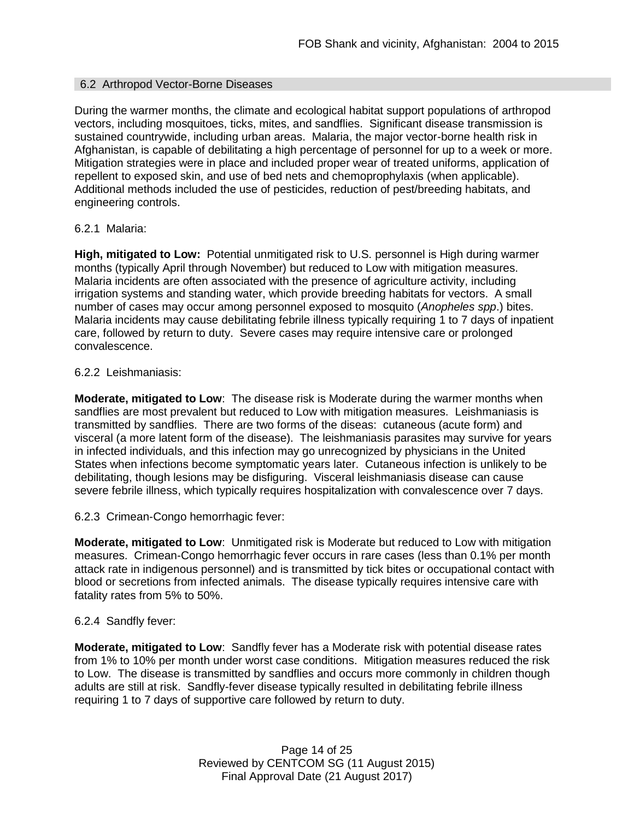### 6.2 Arthropod Vector-Borne Diseases

During the warmer months, the climate and ecological habitat support populations of arthropod vectors, including mosquitoes, ticks, mites, and sandflies. Significant disease transmission is sustained countrywide, including urban areas. Malaria, the major vector-borne health risk in Afghanistan, is capable of debilitating a high percentage of personnel for up to a week or more. Mitigation strategies were in place and included proper wear of treated uniforms, application of repellent to exposed skin, and use of bed nets and chemoprophylaxis (when applicable). Additional methods included the use of pesticides, reduction of pest/breeding habitats, and engineering controls.

## 6.2.1 Malaria:

**High, mitigated to Low:** Potential unmitigated risk to U.S. personnel is High during warmer months (typically April through November) but reduced to Low with mitigation measures. Malaria incidents are often associated with the presence of agriculture activity, including irrigation systems and standing water, which provide breeding habitats for vectors. A small number of cases may occur among personnel exposed to mosquito (*Anopheles spp*.) bites. Malaria incidents may cause debilitating febrile illness typically requiring 1 to 7 days of inpatient care, followed by return to duty. Severe cases may require intensive care or prolonged convalescence.

## 6.2.2 Leishmaniasis:

**Moderate, mitigated to Low**: The disease risk is Moderate during the warmer months when sandflies are most prevalent but reduced to Low with mitigation measures. Leishmaniasis is transmitted by sandflies. There are two forms of the diseas: cutaneous (acute form) and visceral (a more latent form of the disease). The leishmaniasis parasites may survive for years in infected individuals, and this infection may go unrecognized by physicians in the United States when infections become symptomatic years later. Cutaneous infection is unlikely to be debilitating, though lesions may be disfiguring. Visceral leishmaniasis disease can cause severe febrile illness, which typically requires hospitalization with convalescence over 7 days.

6.2.3 Crimean-Congo hemorrhagic fever:

**Moderate, mitigated to Low**: Unmitigated risk is Moderate but reduced to Low with mitigation measures. Crimean-Congo hemorrhagic fever occurs in rare cases (less than 0.1% per month attack rate in indigenous personnel) and is transmitted by tick bites or occupational contact with blood or secretions from infected animals. The disease typically requires intensive care with fatality rates from 5% to 50%.

# 6.2.4 Sandfly fever:

**Moderate, mitigated to Low**: Sandfly fever has a Moderate risk with potential disease rates from 1% to 10% per month under worst case conditions. Mitigation measures reduced the risk to Low. The disease is transmitted by sandflies and occurs more commonly in children though adults are still at risk. Sandfly-fever disease typically resulted in debilitating febrile illness requiring 1 to 7 days of supportive care followed by return to duty.

> Page 14 of 25 Reviewed by CENTCOM SG (11 August 2015) Final Approval Date (21 August 2017)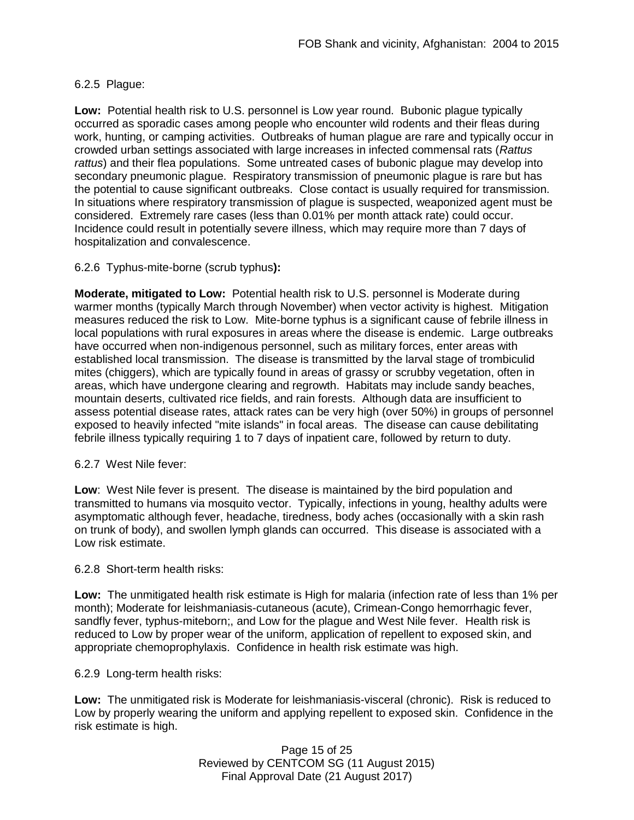# 6.2.5 Plague:

**Low:** Potential health risk to U.S. personnel is Low year round. Bubonic plague typically occurred as sporadic cases among people who encounter wild rodents and their fleas during work, hunting, or camping activities. Outbreaks of human plague are rare and typically occur in crowded urban settings associated with large increases in infected commensal rats (*Rattus rattus*) and their flea populations. Some untreated cases of bubonic plague may develop into secondary pneumonic plague. Respiratory transmission of pneumonic plague is rare but has the potential to cause significant outbreaks. Close contact is usually required for transmission. In situations where respiratory transmission of plague is suspected, weaponized agent must be considered. Extremely rare cases (less than 0.01% per month attack rate) could occur. Incidence could result in potentially severe illness, which may require more than 7 days of hospitalization and convalescence.

## 6.2.6 Typhus-mite-borne (scrub typhus**):**

**Moderate, mitigated to Low:** Potential health risk to U.S. personnel is Moderate during warmer months (typically March through November) when vector activity is highest. Mitigation measures reduced the risk to Low. Mite-borne typhus is a significant cause of febrile illness in local populations with rural exposures in areas where the disease is endemic. Large outbreaks have occurred when non-indigenous personnel, such as military forces, enter areas with established local transmission. The disease is transmitted by the larval stage of trombiculid mites (chiggers), which are typically found in areas of grassy or scrubby vegetation, often in areas, which have undergone clearing and regrowth. Habitats may include sandy beaches, mountain deserts, cultivated rice fields, and rain forests. Although data are insufficient to assess potential disease rates, attack rates can be very high (over 50%) in groups of personnel exposed to heavily infected "mite islands" in focal areas. The disease can cause debilitating febrile illness typically requiring 1 to 7 days of inpatient care, followed by return to duty.

6.2.7 West Nile fever:

**Low**: West Nile fever is present. The disease is maintained by the bird population and transmitted to humans via mosquito vector. Typically, infections in young, healthy adults were asymptomatic although fever, headache, tiredness, body aches (occasionally with a skin rash on trunk of body), and swollen lymph glands can occurred. This disease is associated with a Low risk estimate.

#### 6.2.8 Short-term health risks:

**Low:** The unmitigated health risk estimate is High for malaria (infection rate of less than 1% per month); Moderate for leishmaniasis-cutaneous (acute), Crimean-Congo hemorrhagic fever, sandfly fever, typhus-miteborn;, and Low for the plague and West Nile fever. Health risk is reduced to Low by proper wear of the uniform, application of repellent to exposed skin, and appropriate chemoprophylaxis. Confidence in health risk estimate was high.

6.2.9 Long-term health risks:

**Low:** The unmitigated risk is Moderate for leishmaniasis-visceral (chronic). Risk is reduced to Low by properly wearing the uniform and applying repellent to exposed skin. Confidence in the risk estimate is high.

> Page 15 of 25 Reviewed by CENTCOM SG (11 August 2015) Final Approval Date (21 August 2017)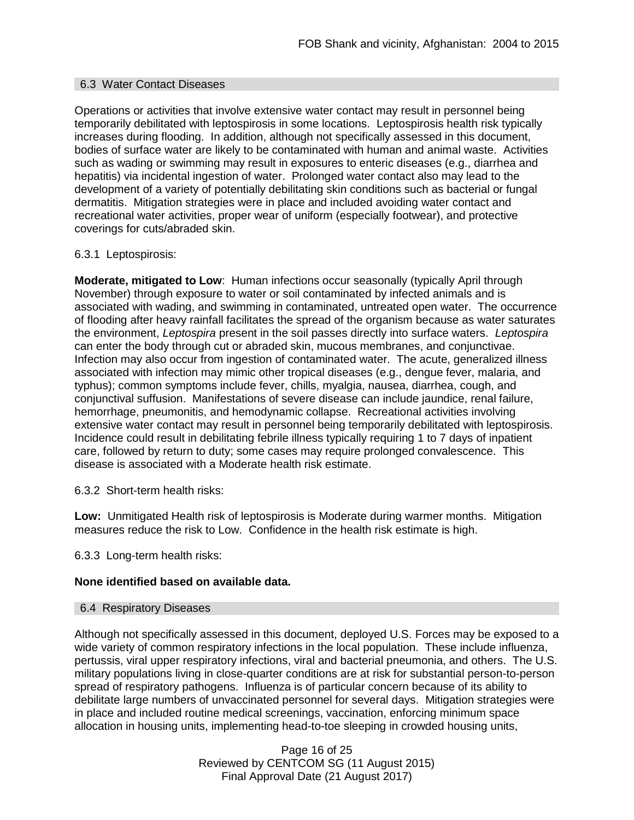#### 6.3 Water Contact Diseases

Operations or activities that involve extensive water contact may result in personnel being temporarily debilitated with leptospirosis in some locations. Leptospirosis health risk typically increases during flooding. In addition, although not specifically assessed in this document, bodies of surface water are likely to be contaminated with human and animal waste. Activities such as wading or swimming may result in exposures to enteric diseases (e.g., diarrhea and hepatitis) via incidental ingestion of water. Prolonged water contact also may lead to the development of a variety of potentially debilitating skin conditions such as bacterial or fungal dermatitis. Mitigation strategies were in place and included avoiding water contact and recreational water activities, proper wear of uniform (especially footwear), and protective coverings for cuts/abraded skin.

#### 6.3.1 Leptospirosis:

**Moderate, mitigated to Low**: Human infections occur seasonally (typically April through November) through exposure to water or soil contaminated by infected animals and is associated with wading, and swimming in contaminated, untreated open water. The occurrence of flooding after heavy rainfall facilitates the spread of the organism because as water saturates the environment, *Leptospira* present in the soil passes directly into surface waters. *Leptospira* can enter the body through cut or abraded skin, mucous membranes, and conjunctivae. Infection may also occur from ingestion of contaminated water. The acute, generalized illness associated with infection may mimic other tropical diseases (e.g., dengue fever, malaria, and typhus); common symptoms include fever, chills, myalgia, nausea, diarrhea, cough, and conjunctival suffusion. Manifestations of severe disease can include jaundice, renal failure, hemorrhage, pneumonitis, and hemodynamic collapse. Recreational activities involving extensive water contact may result in personnel being temporarily debilitated with leptospirosis. Incidence could result in debilitating febrile illness typically requiring 1 to 7 days of inpatient care, followed by return to duty; some cases may require prolonged convalescence. This disease is associated with a Moderate health risk estimate.

6.3.2 Short-term health risks:

**Low:** Unmitigated Health risk of leptospirosis is Moderate during warmer months. Mitigation measures reduce the risk to Low. Confidence in the health risk estimate is high.

6.3.3 Long-term health risks:

#### **None identified based on available data.**

#### 6.4 Respiratory Diseases

Although not specifically assessed in this document, deployed U.S. Forces may be exposed to a wide variety of common respiratory infections in the local population. These include influenza, pertussis, viral upper respiratory infections, viral and bacterial pneumonia, and others. The U.S. military populations living in close-quarter conditions are at risk for substantial person-to-person spread of respiratory pathogens. Influenza is of particular concern because of its ability to debilitate large numbers of unvaccinated personnel for several days. Mitigation strategies were in place and included routine medical screenings, vaccination, enforcing minimum space allocation in housing units, implementing head-to-toe sleeping in crowded housing units,

> Page 16 of 25 Reviewed by CENTCOM SG (11 August 2015) Final Approval Date (21 August 2017)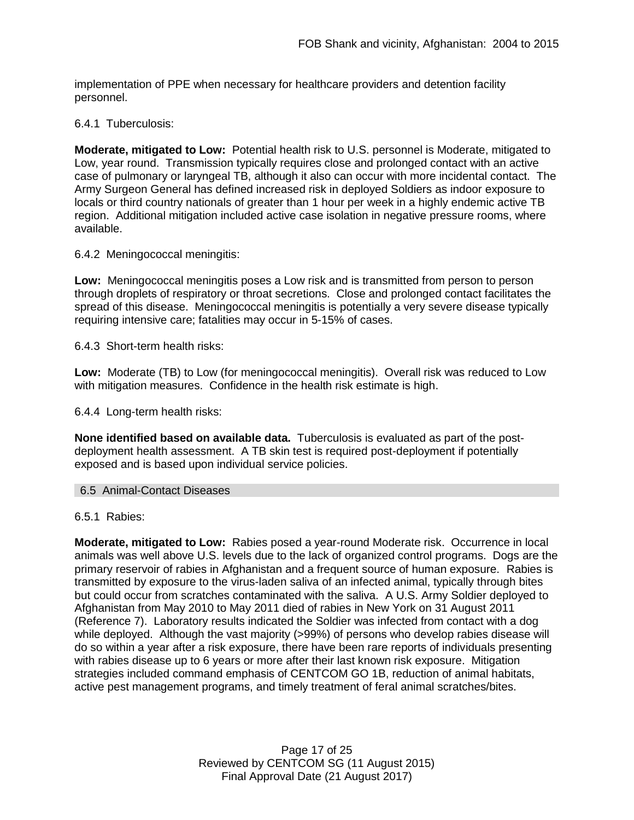implementation of PPE when necessary for healthcare providers and detention facility personnel.

### 6.4.1 Tuberculosis:

**Moderate, mitigated to Low:** Potential health risk to U.S. personnel is Moderate, mitigated to Low, year round. Transmission typically requires close and prolonged contact with an active case of pulmonary or laryngeal TB, although it also can occur with more incidental contact. The Army Surgeon General has defined increased risk in deployed Soldiers as indoor exposure to locals or third country nationals of greater than 1 hour per week in a highly endemic active TB region. Additional mitigation included active case isolation in negative pressure rooms, where available.

6.4.2 Meningococcal meningitis:

**Low:** Meningococcal meningitis poses a Low risk and is transmitted from person to person through droplets of respiratory or throat secretions. Close and prolonged contact facilitates the spread of this disease. Meningococcal meningitis is potentially a very severe disease typically requiring intensive care; fatalities may occur in 5-15% of cases.

6.4.3 Short-term health risks:

**Low:** Moderate (TB) to Low (for meningococcal meningitis). Overall risk was reduced to Low with mitigation measures. Confidence in the health risk estimate is high.

6.4.4 Long-term health risks:

**None identified based on available data.** Tuberculosis is evaluated as part of the postdeployment health assessment. A TB skin test is required post-deployment if potentially exposed and is based upon individual service policies.

#### 6.5 Animal-Contact Diseases

6.5.1 Rabies:

**Moderate, mitigated to Low:** Rabies posed a year-round Moderate risk. Occurrence in local animals was well above U.S. levels due to the lack of organized control programs. Dogs are the primary reservoir of rabies in Afghanistan and a frequent source of human exposure. Rabies is transmitted by exposure to the virus-laden saliva of an infected animal, typically through bites but could occur from scratches contaminated with the saliva. A U.S. Army Soldier deployed to Afghanistan from May 2010 to May 2011 died of rabies in New York on 31 August 2011 (Reference 7). Laboratory results indicated the Soldier was infected from contact with a dog while deployed. Although the vast majority (>99%) of persons who develop rabies disease will do so within a year after a risk exposure, there have been rare reports of individuals presenting with rabies disease up to 6 years or more after their last known risk exposure. Mitigation strategies included command emphasis of CENTCOM GO 1B, reduction of animal habitats, active pest management programs, and timely treatment of feral animal scratches/bites.

> Page 17 of 25 Reviewed by CENTCOM SG (11 August 2015) Final Approval Date (21 August 2017)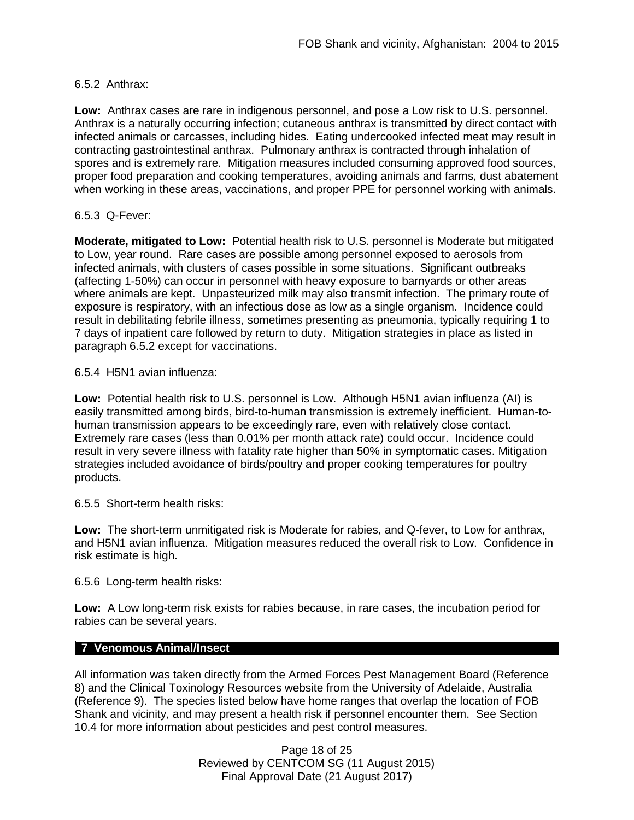## 6.5.2 Anthrax:

**Low:** Anthrax cases are rare in indigenous personnel, and pose a Low risk to U.S. personnel. Anthrax is a naturally occurring infection; cutaneous anthrax is transmitted by direct contact with infected animals or carcasses, including hides. Eating undercooked infected meat may result in contracting gastrointestinal anthrax. Pulmonary anthrax is contracted through inhalation of spores and is extremely rare. Mitigation measures included consuming approved food sources, proper food preparation and cooking temperatures, avoiding animals and farms, dust abatement when working in these areas, vaccinations, and proper PPE for personnel working with animals.

## 6.5.3 Q-Fever:

**Moderate, mitigated to Low:** Potential health risk to U.S. personnel is Moderate but mitigated to Low, year round. Rare cases are possible among personnel exposed to aerosols from infected animals, with clusters of cases possible in some situations. Significant outbreaks (affecting 1-50%) can occur in personnel with heavy exposure to barnyards or other areas where animals are kept. Unpasteurized milk may also transmit infection. The primary route of exposure is respiratory, with an infectious dose as low as a single organism. Incidence could result in debilitating febrile illness, sometimes presenting as pneumonia, typically requiring 1 to 7 days of inpatient care followed by return to duty. Mitigation strategies in place as listed in paragraph 6.5.2 except for vaccinations.

6.5.4 H5N1 avian influenza:

**Low:** Potential health risk to U.S. personnel is Low. Although H5N1 avian influenza (AI) is easily transmitted among birds, bird-to-human transmission is extremely inefficient. Human-tohuman transmission appears to be exceedingly rare, even with relatively close contact. Extremely rare cases (less than 0.01% per month attack rate) could occur. Incidence could result in very severe illness with fatality rate higher than 50% in symptomatic cases. Mitigation strategies included avoidance of birds/poultry and proper cooking temperatures for poultry products.

6.5.5 Short-term health risks:

**Low:** The short-term unmitigated risk is Moderate for rabies, and Q-fever, to Low for anthrax, and H5N1 avian influenza. Mitigation measures reduced the overall risk to Low.Confidence in risk estimate is high.

6.5.6 Long-term health risks:

**Low:** A Low long-term risk exists for rabies because, in rare cases, the incubation period for rabies can be several years.

# **7 Venomous Animal/Insect**

All information was taken directly from the Armed Forces Pest Management Board (Reference 8) and the Clinical Toxinology Resources website from the University of Adelaide, Australia (Reference 9). The species listed below have home ranges that overlap the location of FOB Shank and vicinity, and may present a health risk if personnel encounter them. See Section 10.4 for more information about pesticides and pest control measures.

> Page 18 of 25 Reviewed by CENTCOM SG (11 August 2015) Final Approval Date (21 August 2017)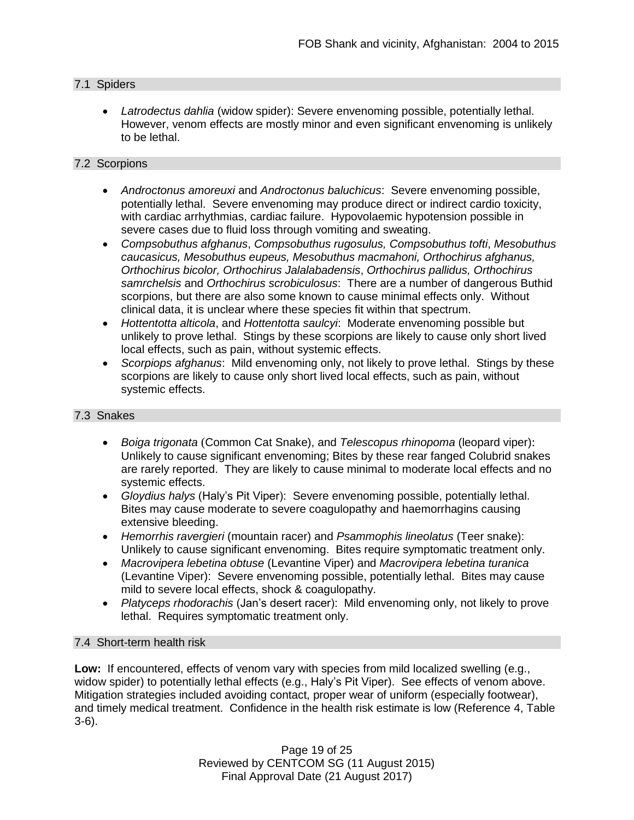## 7.1 Spiders

 *Latrodectus dahlia* (widow spider): Severe envenoming possible, potentially lethal. However, venom effects are mostly minor and even significant envenoming is unlikely to be lethal.

#### 7.2 Scorpions

- *Androctonus amoreuxi* and *Androctonus baluchicus*: Severe envenoming possible, potentially lethal. Severe envenoming may produce direct or indirect cardio toxicity, with cardiac arrhythmias, cardiac failure. Hypovolaemic hypotension possible in severe cases due to fluid loss through vomiting and sweating.
- *Compsobuthus afghanus*, *Compsobuthus rugosulus, Compsobuthus tofti*, *Mesobuthus caucasicus, Mesobuthus eupeus, Mesobuthus macmahoni, Orthochirus afghanus, Orthochirus bicolor, Orthochirus Jalalabadensis*, *Orthochirus pallidus, Orthochirus samrchelsis* and *Orthochirus scrobiculosus*: There are a number of dangerous Buthid scorpions, but there are also some known to cause minimal effects only. Without clinical data, it is unclear where these species fit within that spectrum.
- *Hottentotta alticola*, and *Hottentotta saulcyi*: Moderate envenoming possible but unlikely to prove lethal. Stings by these scorpions are likely to cause only short lived local effects, such as pain, without systemic effects.
- *Scorpiops afghanus*: Mild envenoming only, not likely to prove lethal. Stings by these scorpions are likely to cause only short lived local effects, such as pain, without systemic effects.

#### 7.3 Snakes

- *[Boiga](http://www.toxinology.com/fusebox.cfm?fuseaction=main.snakes.display&id=SN0722) [trigonata](http://www.toxinology.com/fusebox.cfm?fuseaction=main.snakes.display&id=SN0722)* (Common Cat Snake), and *Telescopus rhinopoma* (leopard viper): Unlikely to cause significant envenoming; Bites by these rear fanged Colubrid snakes are rarely reported. They are likely to cause minimal to moderate local effects and no systemic effects.
- *Gloydius halys* (Haly's Pit Viper): Severe envenoming possible, potentially lethal. Bites may cause moderate to severe coagulopathy and haemorrhagins causing extensive bleeding.
- *Hemorrhis ravergieri* (mountain racer) and *Psammophis lineolatus* (Teer snake): Unlikely to cause significant envenoming. Bites require symptomatic treatment only.
- *Macrovipera lebetina obtuse* (Levantine Viper) and *Macrovipera lebetina turanica*  (Levantine Viper): Severe envenoming possible, potentially lethal. Bites may cause mild to severe local effects, shock & coagulopathy.
- *Platyceps rhodorachis* (Jan's desert racer): Mild envenoming only, not likely to prove lethal. Requires symptomatic treatment only.

# 7.4 Short-term health risk

**Low:** If encountered, effects of venom vary with species from mild localized swelling (e.g., widow spider) to potentially lethal effects (e.g., Haly's Pit Viper). See effects of venom above. Mitigation strategies included avoiding contact, proper wear of uniform (especially footwear), and timely medical treatment. Confidence in the health risk estimate is low (Reference 4, Table 3-6).

> Page 19 of 25 Reviewed by CENTCOM SG (11 August 2015) Final Approval Date (21 August 2017)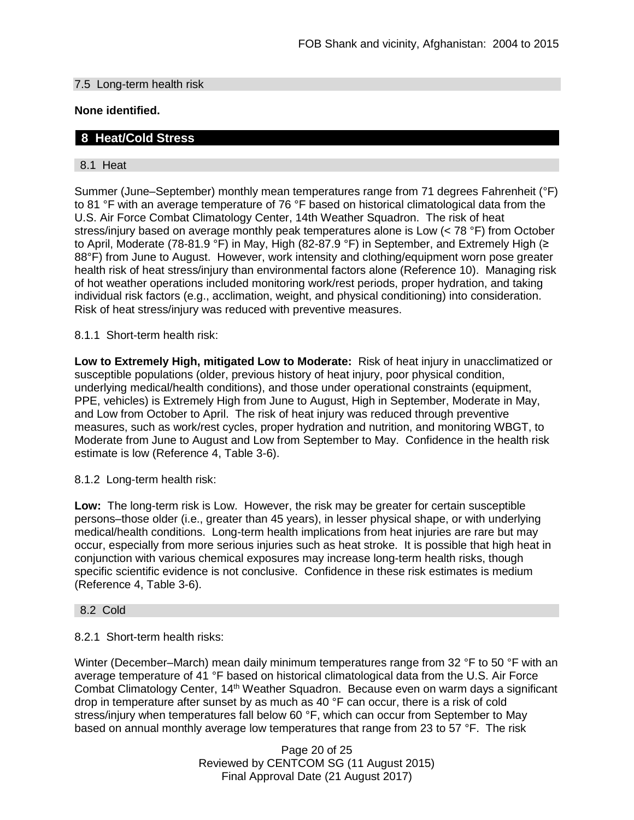### 7.5 Long-term health risk

## **None identified.**

# **8 Heat/Cold Stress**

## 8.1 Heat

Summer (June–September) monthly mean temperatures range from 71 degrees Fahrenheit (°F) to 81 °F with an average temperature of 76 °F based on historical climatological data from the U.S. Air Force Combat Climatology Center, 14th Weather Squadron. The risk of heat stress/injury based on average monthly peak temperatures alone is Low (< 78 °F) from October to April, Moderate (78-81.9 °F) in May, High (82-87.9 °F) in September, and Extremely High (≥ 88°F) from June to August. However, work intensity and clothing/equipment worn pose greater health risk of heat stress/injury than environmental factors alone (Reference 10). Managing risk of hot weather operations included monitoring work/rest periods, proper hydration, and taking individual risk factors (e.g., acclimation, weight, and physical conditioning) into consideration. Risk of heat stress/injury was reduced with preventive measures.

8.1.1 Short-term health risk:

**Low to Extremely High, mitigated Low to Moderate:** Risk of heat injury in unacclimatized or susceptible populations (older, previous history of heat injury, poor physical condition, underlying medical/health conditions), and those under operational constraints (equipment, PPE, vehicles) is Extremely High from June to August, High in September, Moderate in May, and Low from October to April. The risk of heat injury was reduced through preventive measures, such as work/rest cycles, proper hydration and nutrition, and monitoring WBGT, to Moderate from June to August and Low from September to May. Confidence in the health risk estimate is low (Reference 4, Table 3-6).

8.1.2 Long-term health risk:

**Low:** The long-term risk is Low. However, the risk may be greater for certain susceptible persons–those older (i.e., greater than 45 years), in lesser physical shape, or with underlying medical/health conditions. Long-term health implications from heat injuries are rare but may occur, especially from more serious injuries such as heat stroke. It is possible that high heat in conjunction with various chemical exposures may increase long-term health risks, though specific scientific evidence is not conclusive. Confidence in these risk estimates is medium (Reference 4, Table 3-6).

#### 8.2 Cold

# 8.2.1 Short-term health risks:

Winter (December–March) mean daily minimum temperatures range from 32 °F to 50 °F with an average temperature of 41 °F based on historical climatological data from the U.S. Air Force Combat Climatology Center, 14<sup>th</sup> Weather Squadron. Because even on warm days a significant drop in temperature after sunset by as much as 40 °F can occur, there is a risk of cold stress/injury when temperatures fall below 60 °F, which can occur from September to May based on annual monthly average low temperatures that range from 23 to 57 °F. The risk

> Page 20 of 25 Reviewed by CENTCOM SG (11 August 2015) Final Approval Date (21 August 2017)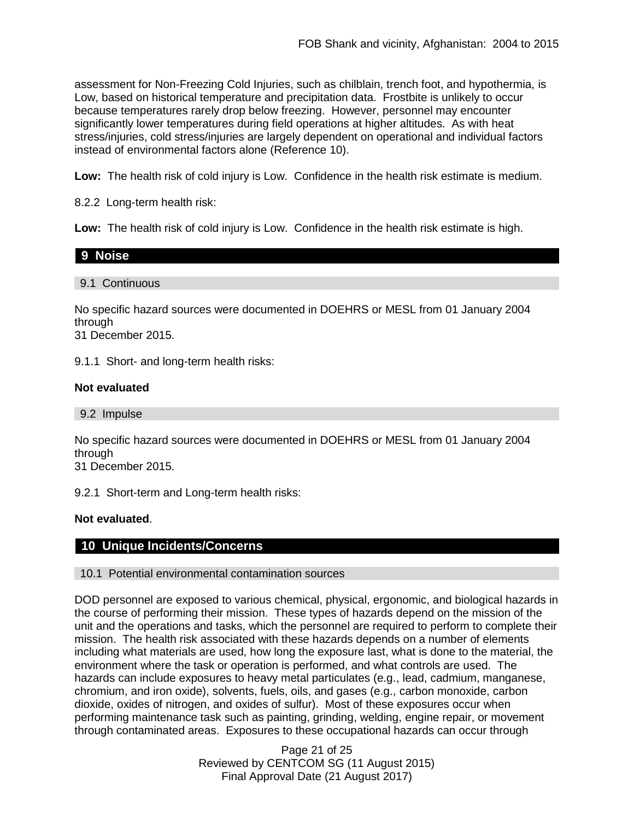assessment for Non-Freezing Cold Injuries, such as chilblain, trench foot, and hypothermia, is Low, based on historical temperature and precipitation data. Frostbite is unlikely to occur because temperatures rarely drop below freezing. However, personnel may encounter significantly lower temperatures during field operations at higher altitudes. As with heat stress/injuries, cold stress/injuries are largely dependent on operational and individual factors instead of environmental factors alone (Reference 10).

**Low:** The health risk of cold injury is Low. Confidence in the health risk estimate is medium.

8.2.2 Long-term health risk:

**Low:** The health risk of cold injury is Low. Confidence in the health risk estimate is high.

| 9 Noise        |  |  |
|----------------|--|--|
|                |  |  |
| 9.1 Continuous |  |  |

No specific hazard sources were documented in DOEHRS or MESL from 01 January 2004 through

31 December 2015.

9.1.1 Short- and long-term health risks:

# **Not evaluated**

9.2 Impulse

No specific hazard sources were documented in DOEHRS or MESL from 01 January 2004 through

31 December 2015.

9.2.1 Short-term and Long-term health risks:

**Not evaluated**.

# **10 Unique Incidents/Concerns**

#### 10.1 Potential environmental contamination sources

DOD personnel are exposed to various chemical, physical, ergonomic, and biological hazards in the course of performing their mission. These types of hazards depend on the mission of the unit and the operations and tasks, which the personnel are required to perform to complete their mission. The health risk associated with these hazards depends on a number of elements including what materials are used, how long the exposure last, what is done to the material, the environment where the task or operation is performed, and what controls are used. The hazards can include exposures to heavy metal particulates (e.g., lead, cadmium, manganese, chromium, and iron oxide), solvents, fuels, oils, and gases (e.g., carbon monoxide, carbon dioxide, oxides of nitrogen, and oxides of sulfur). Most of these exposures occur when performing maintenance task such as painting, grinding, welding, engine repair, or movement through contaminated areas. Exposures to these occupational hazards can occur through

> Page 21 of 25 Reviewed by CENTCOM SG (11 August 2015) Final Approval Date (21 August 2017)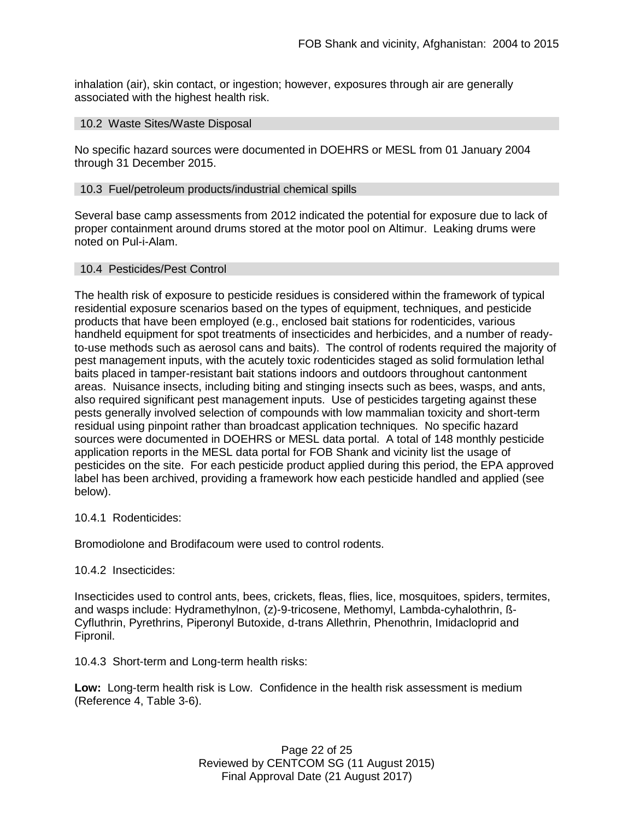inhalation (air), skin contact, or ingestion; however, exposures through air are generally associated with the highest health risk.

#### 10.2 Waste Sites/Waste Disposal

No specific hazard sources were documented in DOEHRS or MESL from 01 January 2004 through 31 December 2015.

#### 10.3 Fuel/petroleum products/industrial chemical spills

Several base camp assessments from 2012 indicated the potential for exposure due to lack of proper containment around drums stored at the motor pool on Altimur. Leaking drums were noted on Pul-i-Alam.

#### 10.4 Pesticides/Pest Control

The health risk of exposure to pesticide residues is considered within the framework of typical residential exposure scenarios based on the types of equipment, techniques, and pesticide products that have been employed (e.g., enclosed bait stations for rodenticides, various handheld equipment for spot treatments of insecticides and herbicides, and a number of readyto-use methods such as aerosol cans and baits). The control of rodents required the majority of pest management inputs, with the acutely toxic rodenticides staged as solid formulation lethal baits placed in tamper-resistant bait stations indoors and outdoors throughout cantonment areas. Nuisance insects, including biting and stinging insects such as bees, wasps, and ants, also required significant pest management inputs. Use of pesticides targeting against these pests generally involved selection of compounds with low mammalian toxicity and short-term residual using pinpoint rather than broadcast application techniques. No specific hazard sources were documented in DOEHRS or MESL data portal. A total of 148 monthly pesticide application reports in the MESL data portal for FOB Shank and vicinity list the usage of pesticides on the site. For each pesticide product applied during this period, the EPA approved label has been archived, providing a framework how each pesticide handled and applied (see below).

#### 10.4.1 Rodenticides:

Bromodiolone and Brodifacoum were used to control rodents.

#### 10.4.2 Insecticides:

Insecticides used to control ants, bees, crickets, fleas, flies, lice, mosquitoes, spiders, termites, and wasps include: Hydramethylnon, (z)-9-tricosene, Methomyl, Lambda-cyhalothrin, ß-Cyfluthrin, Pyrethrins, Piperonyl Butoxide, d-trans Allethrin, Phenothrin, Imidacloprid and Fipronil.

10.4.3 Short-term and Long-term health risks:

**Low:** Long-term health risk is Low. Confidence in the health risk assessment is medium (Reference 4, Table 3-6).

> Page 22 of 25 Reviewed by CENTCOM SG (11 August 2015) Final Approval Date (21 August 2017)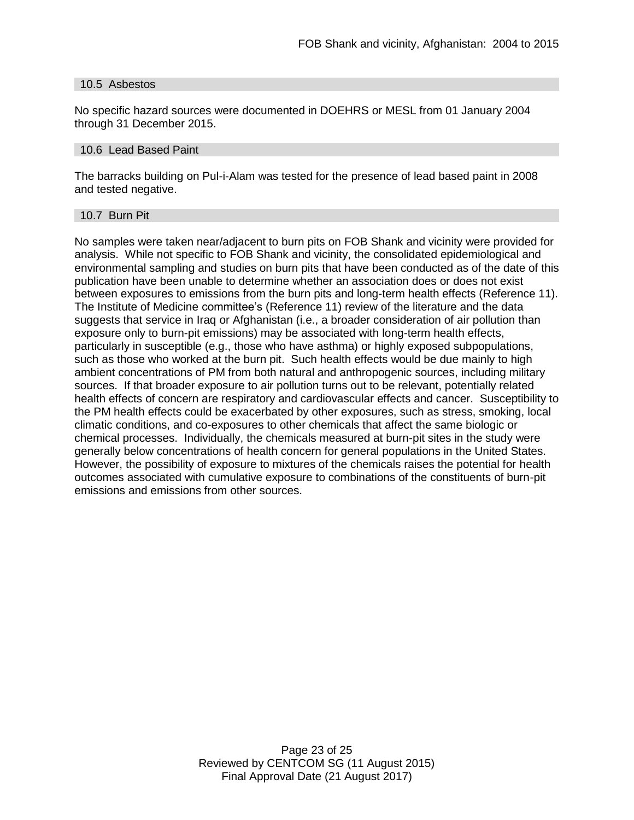#### 10.5 Asbestos

No specific hazard sources were documented in DOEHRS or MESL from 01 January 2004 through 31 December 2015.

#### 10.6 Lead Based Paint

The barracks building on Pul-i-Alam was tested for the presence of lead based paint in 2008 and tested negative.

#### 10.7 Burn Pit

No samples were taken near/adjacent to burn pits on FOB Shank and vicinity were provided for analysis. While not specific to FOB Shank and vicinity, the consolidated epidemiological and environmental sampling and studies on burn pits that have been conducted as of the date of this publication have been unable to determine whether an association does or does not exist between exposures to emissions from the burn pits and long-term health effects (Reference 11). The Institute of Medicine committee's (Reference 11) review of the literature and the data suggests that service in Iraq or Afghanistan (i.e., a broader consideration of air pollution than exposure only to burn-pit emissions) may be associated with long-term health effects, particularly in susceptible (e.g., those who have asthma) or highly exposed subpopulations, such as those who worked at the burn pit. Such health effects would be due mainly to high ambient concentrations of PM from both natural and anthropogenic sources, including military sources. If that broader exposure to air pollution turns out to be relevant, potentially related health effects of concern are respiratory and cardiovascular effects and cancer. Susceptibility to the PM health effects could be exacerbated by other exposures, such as stress, smoking, local climatic conditions, and co-exposures to other chemicals that affect the same biologic or chemical processes. Individually, the chemicals measured at burn-pit sites in the study were generally below concentrations of health concern for general populations in the United States. However, the possibility of exposure to mixtures of the chemicals raises the potential for health outcomes associated with cumulative exposure to combinations of the constituents of burn-pit emissions and emissions from other sources.

> Page 23 of 25 Reviewed by CENTCOM SG (11 August 2015) Final Approval Date (21 August 2017)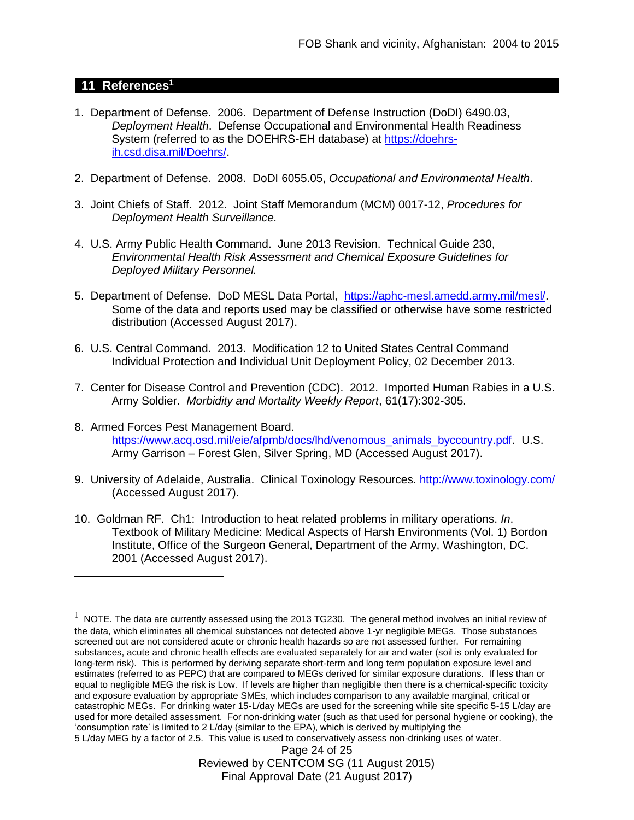# **11 References<sup>1</sup>**

 $\overline{a}$ 

- 1. Department of Defense. 2006. Department of Defense Instruction (DoDI) 6490.03, *Deployment Health*. Defense Occupational and Environmental Health Readiness System (referred to as the DOEHRS-EH database) at [https://doehrs](https://doehrs-ih.csd.disa.mil/Doehrs/)[ih.csd.disa.mil/Doehrs/.](https://doehrs-ih.csd.disa.mil/Doehrs/)
- 2. Department of Defense. 2008. DoDI 6055.05, *Occupational and Environmental Health*.
- 3. Joint Chiefs of Staff. 2012. Joint Staff Memorandum (MCM) 0017-12, *Procedures for Deployment Health Surveillance.*
- 4. U.S. Army Public Health Command. June 2013 Revision. Technical Guide 230, *Environmental Health Risk Assessment and Chemical Exposure Guidelines for Deployed Military Personnel.*
- 5. Department of Defense. DoD MESL Data Portal, [https://aphc-mesl.amedd.army.mil/mesl/.](https://aphc-mesl.amedd.army.mil/mesl/) Some of the data and reports used may be classified or otherwise have some restricted distribution (Accessed August 2017).
- 6. U.S. Central Command. 2013. Modification 12 to United States Central Command Individual Protection and Individual Unit Deployment Policy, 02 December 2013.
- 7. Center for Disease Control and Prevention (CDC). 2012. Imported Human Rabies in a U.S. Army Soldier. *Morbidity and Mortality Weekly Report*, 61(17):302-305.
- 8. Armed Forces Pest Management Board. [https://www.acq.osd.mil/eie/afpmb/docs/lhd/venomous\\_animals\\_byccountry.pdf.](https://www.acq.osd.mil/eie/afpmb/docs/lhd/venomous_animals_byccountry.pdf) U.S. Army Garrison – Forest Glen, Silver Spring, MD (Accessed August 2017).
- 9. University of Adelaide, Australia. Clinical Toxinology Resources.<http://www.toxinology.com/> (Accessed August 2017).
- 10. Goldman RF. Ch1: Introduction to heat related problems in military operations. *In*. Textbook of Military Medicine: Medical Aspects of Harsh Environments (Vol. 1) Bordon Institute, Office of the Surgeon General, Department of the Army, Washington, DC. 2001 (Accessed August 2017).

 $1$  NOTE. The data are currently assessed using the 2013 TG230. The general method involves an initial review of the data, which eliminates all chemical substances not detected above 1-yr negligible MEGs. Those substances screened out are not considered acute or chronic health hazards so are not assessed further. For remaining substances, acute and chronic health effects are evaluated separately for air and water (soil is only evaluated for long-term risk). This is performed by deriving separate short-term and long term population exposure level and estimates (referred to as PEPC) that are compared to MEGs derived for similar exposure durations. If less than or equal to negligible MEG the risk is Low. If levels are higher than negligible then there is a chemical-specific toxicity and exposure evaluation by appropriate SMEs, which includes comparison to any available marginal, critical or catastrophic MEGs. For drinking water 15-L/day MEGs are used for the screening while site specific 5-15 L/day are used for more detailed assessment. For non-drinking water (such as that used for personal hygiene or cooking), the 'consumption rate' is limited to 2 L/day (similar to the EPA), which is derived by multiplying the 5 L/day MEG by a factor of 2.5. This value is used to conservatively assess non-drinking uses of water.